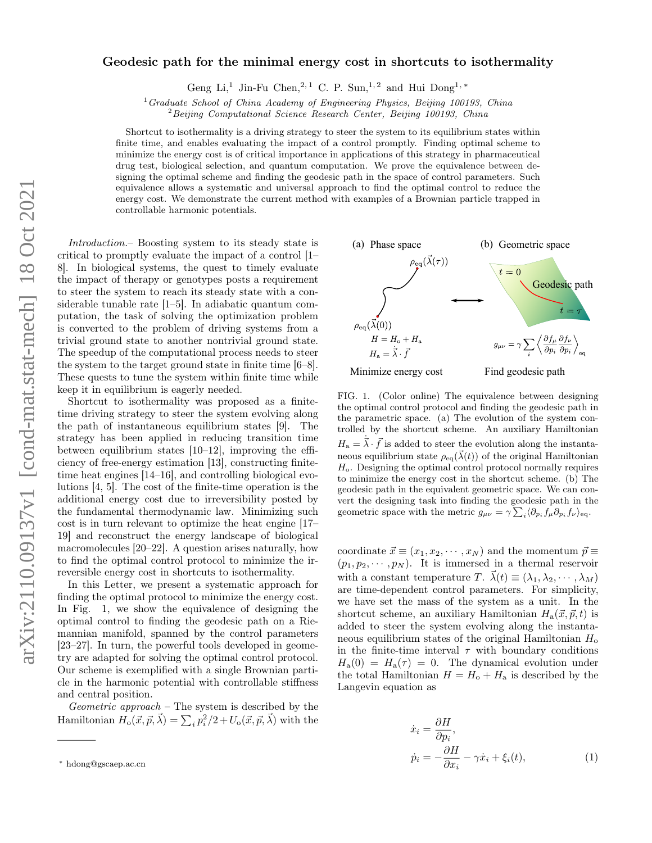## Geodesic path for the minimal energy cost in shortcuts to isothermality

Geng Li,<sup>1</sup> Jin-Fu Chen,<sup>2,1</sup> C. P. Sun,<sup>1,2</sup> and Hui Dong<sup>1,\*</sup>

 $1$  Graduate School of China Academy of Engineering Physics, Beijing 100193, China

<sup>2</sup> Beijing Computational Science Research Center, Beijing 100193, China

Shortcut to isothermality is a driving strategy to steer the system to its equilibrium states within finite time, and enables evaluating the impact of a control promptly. Finding optimal scheme to minimize the energy cost is of critical importance in applications of this strategy in pharmaceutical drug test, biological selection, and quantum computation. We prove the equivalence between designing the optimal scheme and finding the geodesic path in the space of control parameters. Such equivalence allows a systematic and universal approach to find the optimal control to reduce the energy cost. We demonstrate the current method with examples of a Brownian particle trapped in controllable harmonic potentials.

Introduction.– Boosting system to its steady state is critical to promptly evaluate the impact of a control [1– 8]. In biological systems, the quest to timely evaluate the impact of therapy or genotypes posts a requirement to steer the system to reach its steady state with a considerable tunable rate [1–5]. In adiabatic quantum computation, the task of solving the optimization problem is converted to the problem of driving systems from a trivial ground state to another nontrivial ground state. The speedup of the computational process needs to steer the system to the target ground state in finite time [6–8]. These quests to tune the system within finite time while keep it in equilibrium is eagerly needed.

Shortcut to isothermality was proposed as a finitetime driving strategy to steer the system evolving along the path of instantaneous equilibrium states [9]. The strategy has been applied in reducing transition time between equilibrium states [10–12], improving the efficiency of free-energy estimation [13], constructing finitetime heat engines [14–16], and controlling biological evolutions [4, 5]. The cost of the finite-time operation is the additional energy cost due to irreversibility posted by the fundamental thermodynamic law. Minimizing such cost is in turn relevant to optimize the heat engine [17– 19] and reconstruct the energy landscape of biological macromolecules [20–22]. A question arises naturally, how to find the optimal control protocol to minimize the irreversible energy cost in shortcuts to isothermality.

In this Letter, we present a systematic approach for finding the optimal protocol to minimize the energy cost. In Fig. 1, we show the equivalence of designing the optimal control to finding the geodesic path on a Riemannian manifold, spanned by the control parameters [23–27]. In turn, the powerful tools developed in geometry are adapted for solving the optimal control protocol. Our scheme is exemplified with a single Brownian particle in the harmonic potential with controllable stiffness and central position.

Geometric approach – The system is described by the Hamiltonian  $H_o(\vec{x}, \vec{p}, \vec{\lambda}) = \sum_i p_i^2/2 + U_o(\vec{x}, \vec{p}, \vec{\lambda})$  with the



FIG. 1. (Color online) The equivalence between designing the optimal control protocol and finding the geodesic path in the parametric space. (a) The evolution of the system controlled by the shortcut scheme. An auxiliary Hamiltonian  $H_a = \dot{\vec{\lambda}} \cdot \vec{f}$  is added to steer the evolution along the instantaneous equilibrium state  $\rho_{eq}(\vec{\lambda}(t))$  of the original Hamiltonian  $H<sub>o</sub>$ . Designing the optimal control protocol normally requires to minimize the energy cost in the shortcut scheme. (b) The geodesic path in the equivalent geometric space. We can convert the designing task into finding the geodesic path in the geometric space with the metric  $g_{\mu\nu} = \gamma \sum_i \langle \partial_{p_i} f_\mu \partial_{p_i} f_\nu \rangle_{\text{eq}}$ .

coordinate  $\vec{x} \equiv (x_1, x_2, \cdots, x_N)$  and the momentum  $\vec{p} \equiv$  $(p_1, p_2, \dots, p_N)$ . It is immersed in a thermal reservoir with a constant temperature T.  $\vec{\lambda}(t) \equiv (\lambda_1, \lambda_2, \cdots, \lambda_M)$ are time-dependent control parameters. For simplicity, we have set the mass of the system as a unit. In the shortcut scheme, an auxiliary Hamiltonian  $H_a(\vec{x}, \vec{p}, t)$  is added to steer the system evolving along the instantaneous equilibrium states of the original Hamiltonian  $H_0$ in the finite-time interval  $\tau$  with boundary conditions  $H_{\rm a}(0) = H_{\rm a}(\tau) = 0$ . The dynamical evolution under the total Hamiltonian  $H = H_0 + H_a$  is described by the Langevin equation as

$$
\begin{aligned}\n\dot{x}_i &= \frac{\partial H}{\partial p_i}, \\
\dot{p}_i &= -\frac{\partial H}{\partial x_i} - \gamma \dot{x}_i + \xi_i(t),\n\end{aligned} \tag{1}
$$

<sup>∗</sup> hdong@gscaep.ac.cn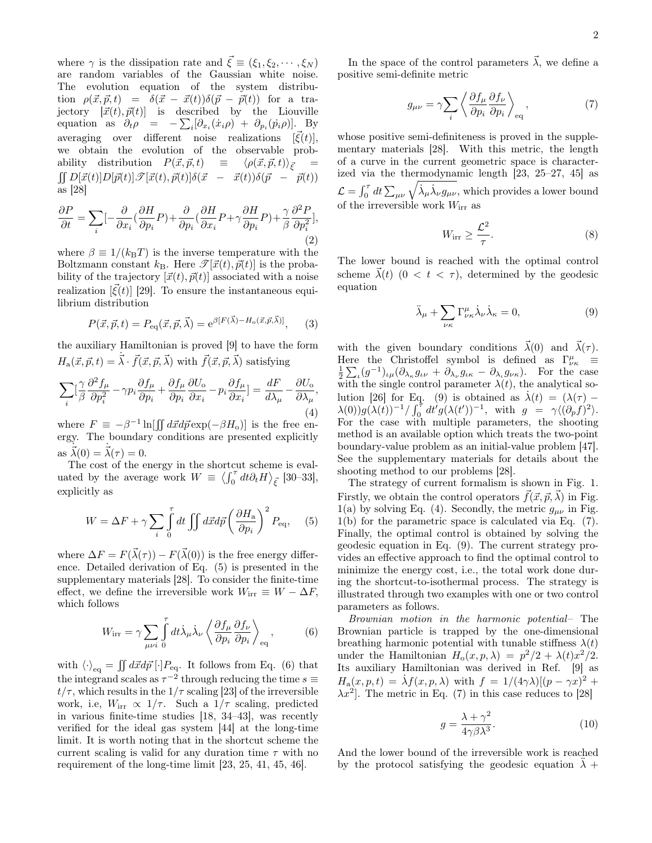where  $\gamma$  is the dissipation rate and  $\vec{\xi} \equiv (\xi_1, \xi_2, \cdots, \xi_N)$ are random variables of the Gaussian white noise. The evolution equation of the system distribution  $\rho(\vec{x}, \vec{p}, t) = \delta(\vec{x} - \vec{x}(t))\delta(\vec{p} - \vec{p}(t))$  for a trajectory  $[\vec{x}(t), \vec{p}(t)]$  is described by the Liouville equation as  $\partial_t \rho = -\sum_i [\partial_{x_i}(\dot{x}_i \rho) + \partial_{p_i}(\dot{p}_i \rho)].$  By averaging over different noise realizations  $[\vec{\xi}(t)],$ we obtain the evolution of the observable probability distribution  $P(\vec{x}, \vec{p}, t) \equiv \langle \rho(\vec{x}, \vec{p}, t) \rangle_{\vec{\xi}}$ ability distribution  $P(\vec{x}, \vec{p}, t) \equiv \langle \rho(\vec{x}, \vec{p}, t) \rangle_{\vec{\xi}} = \iint D[\vec{x}(t)]D[\vec{p}(t)]\mathcal{S}[\vec{x}(t), \vec{p}(t)]\delta(\vec{x} - \vec{x}(t))\delta(\vec{p} - \vec{p}(t))$ as [28]

$$
\frac{\partial P}{\partial t} = \sum_{i} \left[ -\frac{\partial}{\partial x_i} (\frac{\partial H}{\partial p_i} P) + \frac{\partial}{\partial p_i} (\frac{\partial H}{\partial x_i} P + \gamma \frac{\partial H}{\partial p_i} P) + \frac{\gamma}{\beta} \frac{\partial^2 P}{\partial p_i^2} \right],\tag{2}
$$

where  $\beta \equiv 1/(k_{\rm B}T)$  is the inverse temperature with the Boltzmann constant  $k_{\text{B}}$ . Here  $\mathscr{T}[\vec{x}(t), \vec{p}(t)]$  is the probability of the trajectory  $[\vec{x}(t), \vec{p}(t)]$  associated with a noise realization  $[\vec{\xi}(t)]$  [29]. To ensure the instantaneous equilibrium distribution

$$
P(\vec{x}, \vec{p}, t) = P_{\text{eq}}(\vec{x}, \vec{p}, \vec{\lambda}) = e^{\beta [F(\vec{\lambda}) - H_o(\vec{x}, \vec{p}, \vec{\lambda})]}, \quad (3)
$$

the auxiliary Hamiltonian is proved [9] to have the form  $H_a(\vec{x}, \vec{p}, t) = \dot{\vec{\lambda}} \cdot \vec{f}(\vec{x}, \vec{p}, \vec{\lambda})$  with  $\vec{f}(\vec{x}, \vec{p}, \vec{\lambda})$  satisfying

$$
\sum_{i} \left[\frac{\gamma}{\beta} \frac{\partial^2 f_{\mu}}{\partial p_i^2} - \gamma p_i \frac{\partial f_{\mu}}{\partial p_i} + \frac{\partial f_{\mu}}{\partial p_i} \frac{\partial U_{\text{o}}}{\partial x_i} - p_i \frac{\partial f_{\mu}}{\partial x_i}\right] = \frac{dF}{d\lambda_{\mu}} - \frac{\partial U_{\text{o}}}{\partial \lambda_{\mu}},\tag{4}
$$

where  $F \equiv -\beta^{-1} \ln[\iint d\vec{x} d\vec{p} \exp(-\beta H_o)]$  is the free energy. The boundary conditions are presented explicitly as  $\dot{\vec{\lambda}}(0) = \dot{\vec{\lambda}}(\tau) = 0.$ 

The cost of the energy in the shortcut scheme is evaluated by the average work  $W = \langle \int_0^{\tau} dt \partial_t H \rangle_{\vec{\xi}}$  [30–33], explicitly as

$$
W = \Delta F + \gamma \sum_{i} \int_{0}^{\tau} dt \iint d\vec{x} d\vec{p} \left(\frac{\partial H_{\rm a}}{\partial p_{i}}\right)^{2} P_{\rm eq}, \quad (5)
$$

where  $\Delta F = F(\vec{\lambda}(\tau)) - F(\vec{\lambda}(0))$  is the free energy difference. Detailed derivation of Eq. (5) is presented in the supplementary materials [28]. To consider the finite-time effect, we define the irreversible work  $W_{irr} \equiv W - \Delta F$ , which follows

$$
W_{\rm irr} = \gamma \sum_{\mu\nu i} \int_0^{\tau} dt \dot{\lambda}_{\mu} \dot{\lambda}_{\nu} \left\langle \frac{\partial f_{\mu}}{\partial p_i} \frac{\partial f_{\nu}}{\partial p_i} \right\rangle_{\rm eq}, \tag{6}
$$

with  $\langle \cdot \rangle_{\text{eq}} = \iint d\vec{x} d\vec{p} [\cdot] P_{\text{eq}}$ . It follows from Eq. (6) that the integrand scales as  $\tau^{-2}$  through reducing the time  $s \equiv$  $t/\tau$ , which results in the  $1/\tau$  scaling [23] of the irreversible work, i.e,  $W_{irr} \propto 1/\tau$ . Such a  $1/\tau$  scaling, predicted in various finite-time studies [18, 34–43], was recently verified for the ideal gas system [44] at the long-time limit. It is worth noting that in the shortcut scheme the current scaling is valid for any duration time  $\tau$  with no requirement of the long-time limit [23, 25, 41, 45, 46].

In the space of the control parameters  $\vec{\lambda}$ , we define a positive semi-definite metric

$$
g_{\mu\nu} = \gamma \sum_{i} \left\langle \frac{\partial f_{\mu}}{\partial p_{i}} \frac{\partial f_{\nu}}{\partial p_{i}} \right\rangle_{\text{eq}}, \tag{7}
$$

whose positive semi-definiteness is proved in the supplementary materials [28]. With this metric, the length of a curve in the current geometric space is characterized via the thermodynamic length [23, 25–27, 45] as  $\mathcal{L} = \int_0^{\tau} dt \sum_{\mu\nu} \sqrt{\dot{\lambda}_{\mu} \dot{\lambda}_{\nu} g_{\mu\nu}},$  which provides a lower bound of the irreversible work  $W_{\text{irr}}$  as

$$
W_{\rm irr} \ge \frac{\mathcal{L}^2}{\tau}.\tag{8}
$$

The lower bound is reached with the optimal control scheme  $\vec{\lambda}(t)$   $(0 \lt t \lt \tau)$ , determined by the geodesic equation

$$
\ddot{\lambda}_{\mu} + \sum_{\nu\kappa} \Gamma^{\mu}_{\nu\kappa} \dot{\lambda}_{\nu} \dot{\lambda}_{\kappa} = 0, \tag{9}
$$

with the given boundary conditions  $\vec{\lambda}(0)$  and  $\vec{\lambda}(\tau)$ . Here the Christoffel symbol is defined as  $\Gamma^{\mu}_{\nu\kappa}$  =  $\frac{1}{2} \sum_{\iota} (g^{-1})_{\iota \mu} (\partial_{\lambda_{\kappa}} g_{\iota \nu} + \partial_{\lambda_{\nu}} g_{\iota \kappa} - \partial_{\lambda_{\iota}} g_{\nu \kappa}).$  For the case with the single control parameter  $\lambda(t)$ , the analytical solution [26] for Eq. (9) is obtained as  $\dot{\lambda}(t) = (\lambda(\tau) \lambda(0))g(\lambda(t))^{-1}/\int_0^{\tau}dt'g(\lambda(t'))^{-1}$ , with  $g = \gamma\langle(\partial_p f)^2\rangle$ . For the case with multiple parameters, the shooting method is an available option which treats the two-point boundary-value problem as an initial-value problem [47]. See the supplementary materials for details about the shooting method to our problems [28].

The strategy of current formalism is shown in Fig. 1. Firstly, we obtain the control operators  $\vec{f}(\vec{x}, \vec{p}, \vec{\lambda})$  in Fig. 1(a) by solving Eq. (4). Secondly, the metric  $g_{\mu\nu}$  in Fig. 1(b) for the parametric space is calculated via Eq. (7). Finally, the optimal control is obtained by solving the geodesic equation in Eq. (9). The current strategy provides an effective approach to find the optimal control to minimize the energy cost, i.e., the total work done during the shortcut-to-isothermal process. The strategy is illustrated through two examples with one or two control parameters as follows.

Brownian motion in the harmonic potential– The Brownian particle is trapped by the one-dimensional breathing harmonic potential with tunable stiffness  $\lambda(t)$ under the Hamiltonian  $H_o(x, p, \lambda) = p^2/2 + \lambda(t)x^2/2$ . Its auxiliary Hamiltonian was derived in Ref. [9] as  $H_a(x, p, t) = \lambda f(x, p, \lambda)$  with  $f = 1/(4\gamma\lambda)[(p - \gamma x)^2 +$  $\lambda x^2$ . The metric in Eq. (7) in this case reduces to [28]

$$
g = \frac{\lambda + \gamma^2}{4\gamma\beta\lambda^3}.\tag{10}
$$

And the lower bound of the irreversible work is reached by the protocol satisfying the geodesic equation  $\lambda +$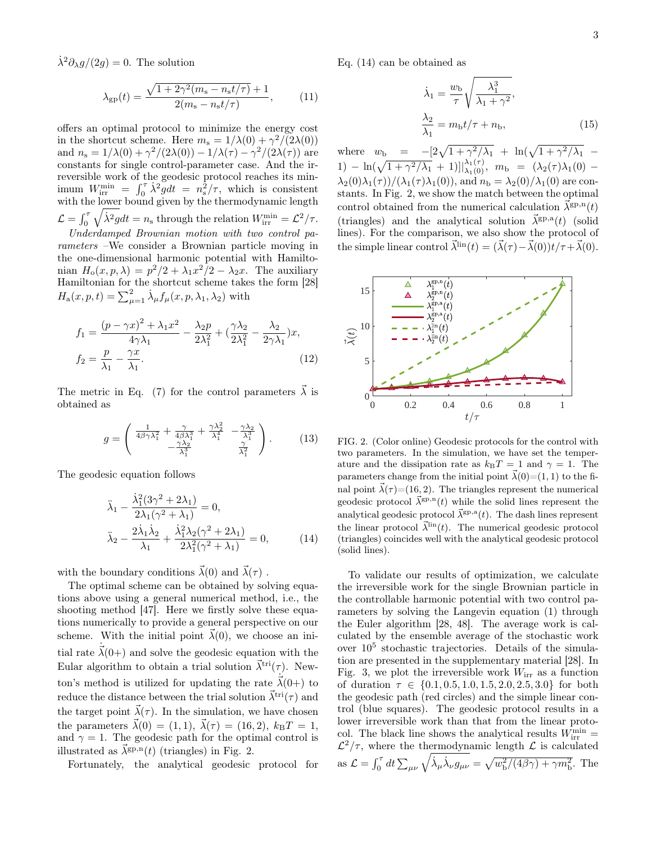$\lambda^2 \partial_{\lambda} g/(2g) = 0$ . The solution

$$
\lambda_{\rm gp}(t) = \frac{\sqrt{1 + 2\gamma^2 (m_{\rm s} - n_{\rm s} t/\tau)} + 1}{2(m_{\rm s} - n_{\rm s} t/\tau)},\tag{11}
$$

offers an optimal protocol to minimize the energy cost in the shortcut scheme. Here  $m_s = 1/\lambda(0) + \gamma^2/(2\lambda(0))$ and  $n_s = 1/\lambda(0) + \gamma^2/(2\lambda(0)) - 1/\lambda(\tau) - \gamma^2/(2\lambda(\tau))$  are constants for single control-parameter case. And the irreversible work of the geodesic protocol reaches its minimum  $W_{irr}^{min} = \int_0^{\tau} \lambda^2 g dt = n_s^2/\tau$ , which is consistent with the lower bound given by the thermodynamic length  $\mathcal{L} = \int_0^{\tau} \sqrt{\dot{\lambda}^2 gdt} = n_s$  through the relation  $W_{irr}^{\min} = \mathcal{L}^2/\tau$ .  $\sqrt{ }$ Underdamped Brownian motion with two control pa-

rameters –We consider a Brownian particle moving in the one-dimensional harmonic potential with Hamiltonian  $H_0(x, p, \lambda) = p^2/2 + \lambda_1 x^2/2 - \lambda_2 x$ . The auxiliary Hamiltonian for the shortcut scheme takes the form [28]  $H_a(x, p, t) = \sum_{\mu=1}^2 \dot{\lambda}_{\mu} f_{\mu}(x, p, \lambda_1, \lambda_2)$  with

$$
f_1 = \frac{(p - \gamma x)^2 + \lambda_1 x^2}{4\gamma \lambda_1} - \frac{\lambda_2 p}{2\lambda_1^2} + (\frac{\gamma \lambda_2}{2\lambda_1^2} - \frac{\lambda_2}{2\gamma \lambda_1})x, f_2 = \frac{p}{\lambda_1} - \frac{\gamma x}{\lambda_1}.
$$
 (12)

The metric in Eq. (7) for the control parameters  $\vec{\lambda}$  is obtained as

$$
g = \begin{pmatrix} \frac{1}{4\beta\gamma\lambda_1^2} + \frac{\gamma}{4\beta\lambda_1^3} + \frac{\gamma\lambda_2^2}{\lambda_1^4} & -\frac{\gamma\lambda_2}{\lambda_1^3} \\ -\frac{\gamma\lambda_2}{\lambda_1^3} & \frac{\gamma}{\lambda_1^2} \end{pmatrix} . \tag{13}
$$

The geodesic equation follows

$$
\ddot{\lambda}_1 - \frac{\dot{\lambda}_1^2 (3\gamma^2 + 2\lambda_1)}{2\lambda_1 (\gamma^2 + \lambda_1)} = 0,
$$
  

$$
\ddot{\lambda}_2 - \frac{2\dot{\lambda}_1 \dot{\lambda}_2}{\lambda_1} + \frac{\dot{\lambda}_1^2 \lambda_2 (\gamma^2 + 2\lambda_1)}{2\lambda_1^2 (\gamma^2 + \lambda_1)} = 0,
$$
 (14)

with the boundary conditions  $\vec{\lambda}(0)$  and  $\vec{\lambda}(\tau)$ .

The optimal scheme can be obtained by solving equations above using a general numerical method, i.e., the shooting method [47]. Here we firstly solve these equations numerically to provide a general perspective on our scheme. With the initial point  $\vec{\lambda}(0)$ , we choose an initial rate  $\vec{\lambda}(0+)$  and solve the geodesic equation with the Eular algorithm to obtain a trial solution  $\vec{\lambda}^{\text{tri}}(\tau)$ . Newton's method is utilized for updating the rate  $\vec{\lambda}(0+)$  to reduce the distance between the trial solution  $\vec{\lambda}^{\text{tri}}(\tau)$  and the target point  $\vec{\lambda}(\tau)$ . In the simulation, we have chosen the parameters  $\vec{\lambda}(0) = (1, 1), \vec{\lambda}(\tau) = (16, 2), k_{\text{B}}T = 1,$ and  $\gamma = 1$ . The geodesic path for the optimal control is illustrated as  $\vec{\lambda}^{\text{gp},n}(t)$  (triangles) in Fig. 2.

Fortunately, the analytical geodesic protocol for

Eq. (14) can be obtained as

$$
\dot{\lambda}_1 = \frac{w_b}{\tau} \sqrt{\frac{\lambda_1^3}{\lambda_1 + \gamma^2}},
$$
\n
$$
\frac{\lambda_2}{\lambda_1} = m_b t / \tau + n_b,
$$
\n(15)

where  $w_{\rm b} = -[2\sqrt{1+\gamma^2/\lambda_1} + \ln(\sqrt{1+\gamma^2/\lambda_1} -$ 1) –  $\ln(\sqrt{1 + \gamma^2/\lambda_1} + 1)$ ] $\big|_{\lambda_1(0)}^{\lambda_1(\tau)}$ ,  $m_b = (\lambda_2(\tau)\lambda_1(0) \lambda_2(0)\lambda_1(\tau)$   $/(\lambda_1(\tau)\lambda_1(0))$ , and  $n_\text{b} = \lambda_2(0)/\lambda_1(0)$  are constants. In Fig. 2, we show the match between the optimal control obtained from the numerical calculation  $\vec{\lambda}^{\text{gp},n}(t)$ (triangles) and the analytical solution  $\vec{\lambda}^{\text{gp},a}(t)$  (solid lines). For the comparison, we also show the protocol of the simple linear control  $\vec{\lambda}^{\text{lin}}(t) = (\vec{\lambda}(\tau) - \vec{\lambda}(0))t/\tau + \vec{\lambda}(0)$ .



FIG. 2. (Color online) Geodesic protocols for the control with two parameters. In the simulation, we have set the temperature and the dissipation rate as  $k_BT = 1$  and  $\gamma = 1$ . The parameters change from the initial point  $\vec{\lambda}(0)=(1, 1)$  to the final point  $\vec{\lambda}(\tau)$  = (16, 2). The triangles represent the numerical geodesic protocol  $\vec{\lambda}^{\text{gp},n}(t)$  while the solid lines represent the analytical geodesic protocol  $\vec{\lambda}^{\text{gp},a}(t)$ . The dash lines represent the linear protocol  $\vec{\lambda}^{\text{lin}}(t)$ . The numerical geodesic protocol (triangles) coincides well with the analytical geodesic protocol (solid lines).

To validate our results of optimization, we calculate the irreversible work for the single Brownian particle in the controllable harmonic potential with two control parameters by solving the Langevin equation (1) through the Euler algorithm [28, 48]. The average work is calculated by the ensemble average of the stochastic work over 10<sup>5</sup> stochastic trajectories. Details of the simulation are presented in the supplementary material [28]. In Fig. 3, we plot the irreversible work  $W_{irr}$  as a function of duration  $\tau \in \{0.1, 0.5, 1.0, 1.5, 2.0, 2.5, 3.0\}$  for both the geodesic path (red circles) and the simple linear control (blue squares). The geodesic protocol results in a lower irreversible work than that from the linear protocol. The black line shows the analytical results  $W_{irr}^{min} =$  $\mathcal{L}^2/\tau$ , where the thermodynamic length  $\mathcal L$  is calculated as  $\mathcal{L} = \int_0^{\tau} dt \sum_{\mu\nu} \sqrt{\dot{\lambda}_{\mu} \dot{\lambda}_{\nu} g_{\mu\nu}} = \sqrt{w_b^2/(4\beta\gamma) + \gamma m_b^2}$ . The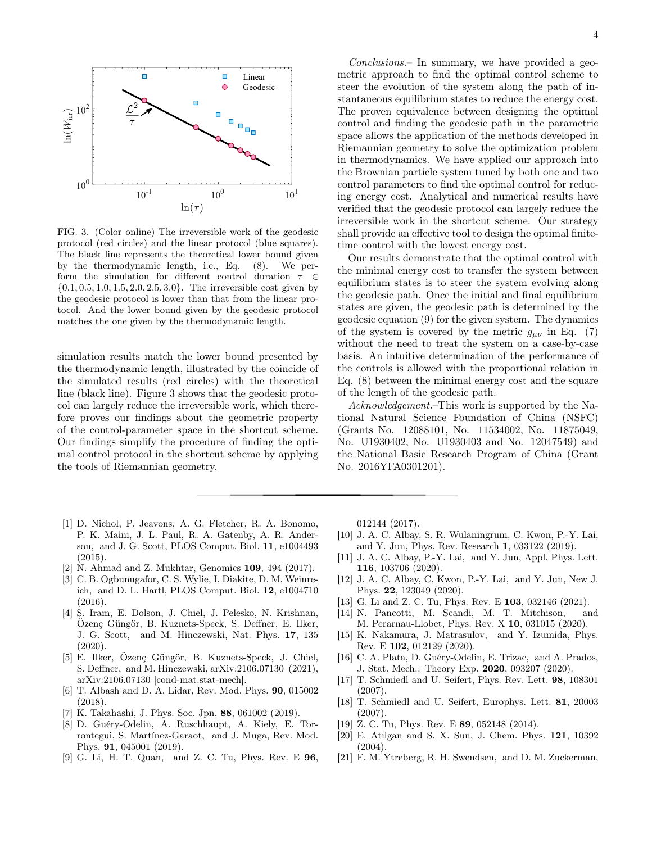

FIG. 3. (Color online) The irreversible work of the geodesic protocol (red circles) and the linear protocol (blue squares). The black line represents the theoretical lower bound given by the thermodynamic length, i.e., Eq. (8). We perform the simulation for different control duration  $\tau \in$  $\{0.1, 0.5, 1.0, 1.5, 2.0, 2.5, 3.0\}$ . The irreversible cost given by the geodesic protocol is lower than that from the linear protocol. And the lower bound given by the geodesic protocol matches the one given by the thermodynamic length.

simulation results match the lower bound presented by the thermodynamic length, illustrated by the coincide of the simulated results (red circles) with the theoretical line (black line). Figure 3 shows that the geodesic protocol can largely reduce the irreversible work, which therefore proves our findings about the geometric property of the control-parameter space in the shortcut scheme. Our findings simplify the procedure of finding the optimal control protocol in the shortcut scheme by applying the tools of Riemannian geometry.

- [1] D. Nichol, P. Jeavons, A. G. Fletcher, R. A. Bonomo, P. K. Maini, J. L. Paul, R. A. Gatenby, A. R. Anderson, and J. G. Scott, PLOS Comput. Biol. 11, e1004493 (2015).
- [2] N. Ahmad and Z. Mukhtar, Genomics 109, 494 (2017).
- [3] C. B. Ogbunugafor, C. S. Wylie, I. Diakite, D. M. Weinreich, and D. L. Hartl, PLOS Comput. Biol. 12, e1004710 (2016).
- [4] S. Iram, E. Dolson, J. Chiel, J. Pelesko, N. Krishnan, Özenç Güngör, B. Kuznets-Speck, S. Deffner, E. Ilker, J. G. Scott, and M. Hinczewski, Nat. Phys. 17, 135  $(2020).$
- [5] E. Ilker, Özenç Güngör, B. Kuznets-Speck, J. Chiel, S. Deffner, and M. Hinczewski, arXiv:2106.07130 (2021), arXiv:2106.07130 [cond-mat.stat-mech].
- [6] T. Albash and D. A. Lidar, Rev. Mod. Phys. 90, 015002 (2018).
- [7] K. Takahashi, J. Phys. Soc. Jpn. 88, 061002 (2019).
- [8] D. Guéry-Odelin, A. Ruschhaupt, A. Kiely, E. Torrontegui, S. Martínez-Garaot, and J. Muga, Rev. Mod. Phys. 91, 045001 (2019).
- [9] G. Li, H. T. Quan, and Z. C. Tu, Phys. Rev. E 96,

Conclusions.– In summary, we have provided a geometric approach to find the optimal control scheme to steer the evolution of the system along the path of instantaneous equilibrium states to reduce the energy cost. The proven equivalence between designing the optimal control and finding the geodesic path in the parametric space allows the application of the methods developed in Riemannian geometry to solve the optimization problem in thermodynamics. We have applied our approach into the Brownian particle system tuned by both one and two control parameters to find the optimal control for reducing energy cost. Analytical and numerical results have verified that the geodesic protocol can largely reduce the irreversible work in the shortcut scheme. Our strategy shall provide an effective tool to design the optimal finitetime control with the lowest energy cost.

Our results demonstrate that the optimal control with the minimal energy cost to transfer the system between equilibrium states is to steer the system evolving along the geodesic path. Once the initial and final equilibrium states are given, the geodesic path is determined by the geodesic equation (9) for the given system. The dynamics of the system is covered by the metric  $g_{\mu\nu}$  in Eq. (7) without the need to treat the system on a case-by-case basis. An intuitive determination of the performance of the controls is allowed with the proportional relation in Eq. (8) between the minimal energy cost and the square of the length of the geodesic path.

Acknowledgement.–This work is supported by the National Natural Science Foundation of China (NSFC) (Grants No. 12088101, No. 11534002, No. 11875049, No. U1930402, No. U1930403 and No. 12047549) and the National Basic Research Program of China (Grant No. 2016YFA0301201).

012144 (2017).

- [10] J. A. C. Albay, S. R. Wulaningrum, C. Kwon, P.-Y. Lai, and Y. Jun, Phys. Rev. Research 1, 033122 (2019).
- [11] J. A. C. Albay, P.-Y. Lai, and Y. Jun, Appl. Phys. Lett. 116, 103706 (2020).
- [12] J. A. C. Albay, C. Kwon, P.-Y. Lai, and Y. Jun, New J. Phys. 22, 123049 (2020).
- [13] G. Li and Z. C. Tu, Phys. Rev. E **103**, 032146 (2021).
- [14] N. Pancotti, M. Scandi, M. T. Mitchison, and M. Perarnau-Llobet, Phys. Rev. X 10, 031015 (2020).
- [15] K. Nakamura, J. Matrasulov, and Y. Izumida, Phys. Rev. E 102, 012129 (2020).
- [16] C. A. Plata, D. Guéry-Odelin, E. Trizac, and A. Prados, J. Stat. Mech.: Theory Exp. 2020, 093207 (2020).
- [17] T. Schmiedl and U. Seifert, Phys. Rev. Lett. 98, 108301 (2007).
- [18] T. Schmiedl and U. Seifert, Europhys. Lett. 81, 20003 (2007).
- [19] Z. C. Tu, Phys. Rev. E **89**, 052148 (2014).
- [20] E. Atılgan and S. X. Sun, J. Chem. Phys. 121, 10392 (2004).
- [21] F. M. Ytreberg, R. H. Swendsen, and D. M. Zuckerman,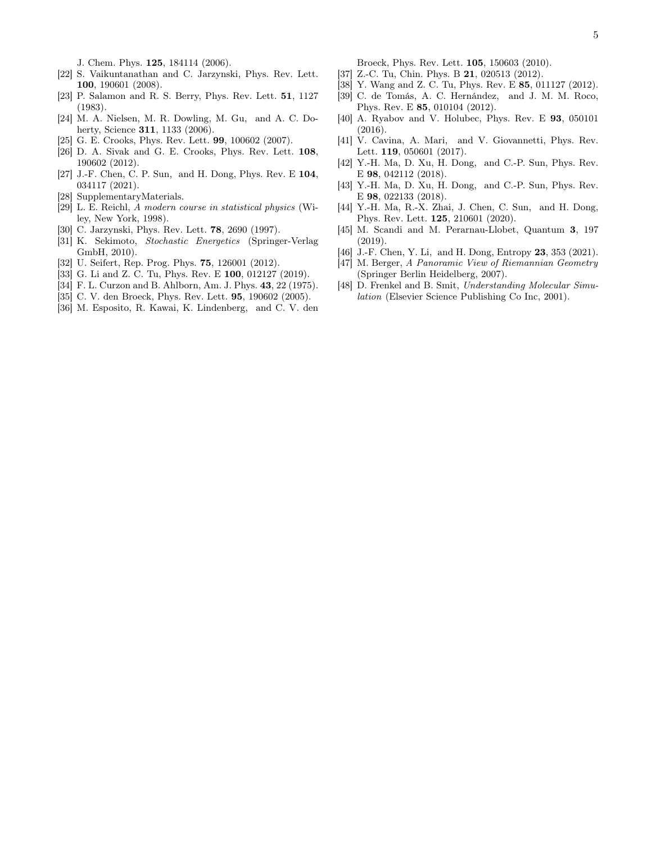J. Chem. Phys. 125, 184114 (2006).

- [22] S. Vaikuntanathan and C. Jarzynski, Phys. Rev. Lett. 100, 190601 (2008).
- [23] P. Salamon and R. S. Berry, Phys. Rev. Lett. 51, 1127 (1983).
- [24] M. A. Nielsen, M. R. Dowling, M. Gu, and A. C. Doherty, Science **311**, 1133 (2006).
- [25] G. E. Crooks, Phys. Rev. Lett. **99**, 100602 (2007).
- [26] D. A. Sivak and G. E. Crooks, Phys. Rev. Lett. 108, 190602 (2012).
- [27] J.-F. Chen, C. P. Sun, and H. Dong, Phys. Rev. E 104, 034117 (2021).
- [28] SupplementaryMaterials.
- [29] L. E. Reichl, A modern course in statistical physics (Wiley, New York, 1998).
- [30] C. Jarzynski, Phys. Rev. Lett. 78, 2690 (1997).
- [31] K. Sekimoto, Stochastic Energetics (Springer-Verlag GmbH, 2010).
- [32] U. Seifert, Rep. Prog. Phys. 75, 126001 (2012).
- [33] G. Li and Z. C. Tu, Phys. Rev. E 100, 012127 (2019).
- [34] F. L. Curzon and B. Ahlborn, Am. J. Phys. 43, 22 (1975).
- [35] C. V. den Broeck, Phys. Rev. Lett. 95, 190602 (2005).
- [36] M. Esposito, R. Kawai, K. Lindenberg, and C. V. den

Broeck, Phys. Rev. Lett. 105, 150603 (2010).

- [37] Z.-C. Tu, Chin. Phys. B **21**, 020513 (2012).
- [38] Y. Wang and Z. C. Tu, Phys. Rev. E 85, 011127 (2012).
- [39] C. de Tomás, A. C. Hernández, and J. M. M. Roco, Phys. Rev. E 85, 010104 (2012).
- [40] A. Ryabov and V. Holubec, Phys. Rev. E 93, 050101 (2016).
- [41] V. Cavina, A. Mari, and V. Giovannetti, Phys. Rev. Lett. 119, 050601 (2017).
- [42] Y.-H. Ma, D. Xu, H. Dong, and C.-P. Sun, Phys. Rev. E 98, 042112 (2018).
- [43] Y.-H. Ma, D. Xu, H. Dong, and C.-P. Sun, Phys. Rev. E 98, 022133 (2018).
- [44] Y.-H. Ma, R.-X. Zhai, J. Chen, C. Sun, and H. Dong, Phys. Rev. Lett. 125, 210601 (2020).
- [45] M. Scandi and M. Perarnau-Llobet, Quantum 3, 197 (2019).
- [46] J.-F. Chen, Y. Li, and H. Dong, Entropy 23, 353 (2021).
- [47] M. Berger, A Panoramic View of Riemannian Geometry (Springer Berlin Heidelberg, 2007).
- [48] D. Frenkel and B. Smit, Understanding Molecular Simulation (Elsevier Science Publishing Co Inc, 2001).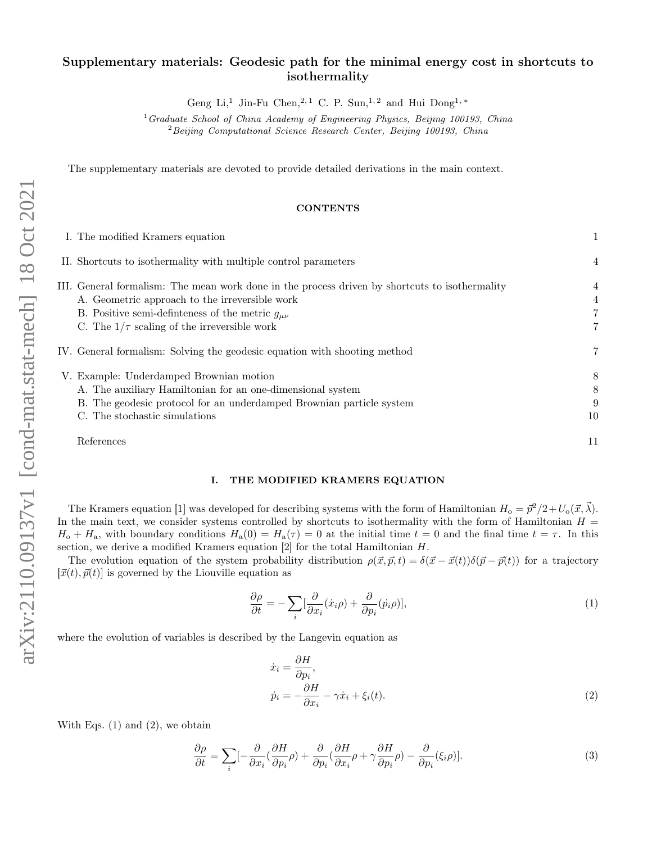# Supplementary materials: Geodesic path for the minimal energy cost in shortcuts to isothermality

Geng Li,<sup>1</sup> Jin-Fu Chen,<sup>2,1</sup> C. P. Sun,<sup>1,2</sup> and Hui Dong<sup>1,\*</sup>

 $1$ Graduate School of China Academy of Engineering Physics, Beijing 100193, China  $2$ Beijing Computational Science Research Center, Beijing 100193, China

The supplementary materials are devoted to provide detailed derivations in the main context.

#### **CONTENTS**

|  | I. The modified Kramers equation                                                               |                |
|--|------------------------------------------------------------------------------------------------|----------------|
|  | II. Shortcuts to isothermality with multiple control parameters                                | $\overline{4}$ |
|  | III. General formalism: The mean work done in the process driven by shortcuts to isothermality | 4              |
|  | A. Geometric approach to the irreversible work                                                 | $\overline{4}$ |
|  | B. Positive semi-definieness of the metric $g_{\mu\nu}$                                        |                |
|  | C. The $1/\tau$ scaling of the irreversible work                                               | 7              |
|  | IV. General formalism: Solving the geodesic equation with shooting method                      | 7              |
|  | V. Example: Underdamped Brownian motion                                                        | 8              |
|  | A. The auxiliary Hamiltonian for an one-dimensional system                                     | 8              |
|  | B. The geodesic protocol for an underdamped Brownian particle system                           | 9              |
|  | C. The stochastic simulations                                                                  | 10             |
|  | References                                                                                     | 11             |
|  |                                                                                                |                |

## I. THE MODIFIED KRAMERS EQUATION

The Kramers equation [1] was developed for describing systems with the form of Hamiltonian  $H_0 = \vec{p}^2/2 + U_0(\vec{x}, \vec{\lambda})$ . In the main text, we consider systems controlled by shortcuts to isothermality with the form of Hamiltonian  $H =$  $H_0 + H_a$ , with boundary conditions  $H_a(0) = H_a(\tau) = 0$  at the initial time  $t = 0$  and the final time  $t = \tau$ . In this section, we derive a modified Kramers equation [2] for the total Hamiltonian H.

The evolution equation of the system probability distribution  $\rho(\vec{x}, \vec{p}, t) = \delta(\vec{x} - \vec{x}(t))\delta(\vec{p} - \vec{p}(t))$  for a trajectory  $[\vec{x}(t), \vec{p}(t)]$  is governed by the Liouville equation as

$$
\frac{\partial \rho}{\partial t} = -\sum_{i} \left[\frac{\partial}{\partial x_i} (\dot{x}_i \rho) + \frac{\partial}{\partial p_i} (\dot{p}_i \rho) \right],\tag{1}
$$

where the evolution of variables is described by the Langevin equation as

$$
\begin{aligned}\n\dot{x}_i &= \frac{\partial H}{\partial p_i}, \\
\dot{p}_i &= -\frac{\partial H}{\partial x_i} - \gamma \dot{x}_i + \xi_i(t).\n\end{aligned} \tag{2}
$$

With Eqs.  $(1)$  and  $(2)$ , we obtain

$$
\frac{\partial \rho}{\partial t} = \sum_{i} \left[ -\frac{\partial}{\partial x_i} \left( \frac{\partial H}{\partial p_i} \rho \right) + \frac{\partial}{\partial p_i} \left( \frac{\partial H}{\partial x_i} \rho + \gamma \frac{\partial H}{\partial p_i} \rho \right) - \frac{\partial}{\partial p_i} (\xi_i \rho) \right].
$$
\n(3)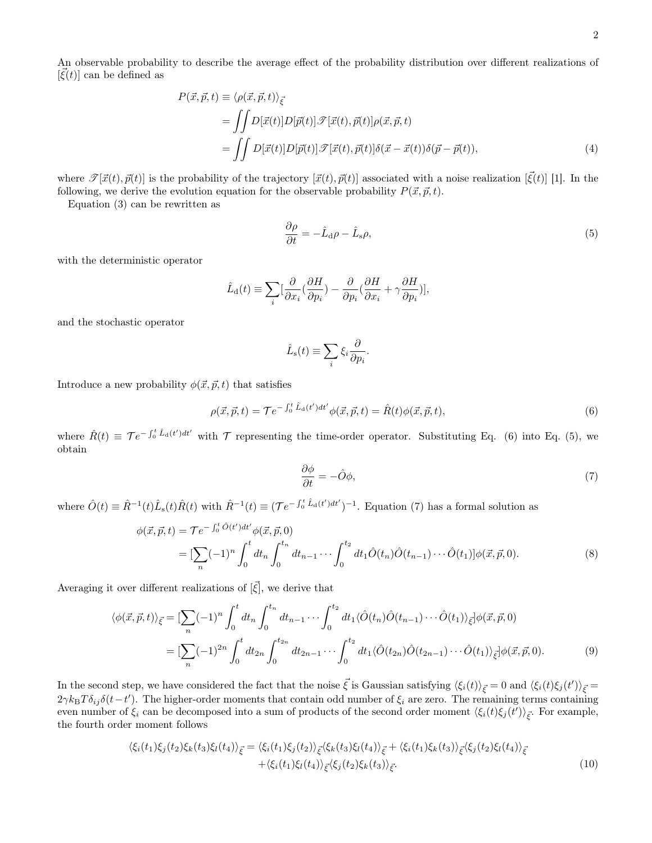$$
P(\vec{x}, \vec{p}, t) \equiv \langle \rho(\vec{x}, \vec{p}, t) \rangle_{\vec{\xi}}
$$
  
= 
$$
\iint D[\vec{x}(t)] D[\vec{p}(t)] \mathcal{F}[\vec{x}(t), \vec{p}(t)] \rho(\vec{x}, \vec{p}, t)
$$
  
= 
$$
\iint D[\vec{x}(t)] D[\vec{p}(t)] \mathcal{F}[\vec{x}(t), \vec{p}(t)] \delta(\vec{x} - \vec{x}(t)) \delta(\vec{p} - \vec{p}(t)),
$$
 (4)

where  $\mathscr{T}[\vec{x}(t), \vec{p}(t)]$  is the probability of the trajectory  $[\vec{x}(t), \vec{p}(t)]$  associated with a noise realization  $[\vec{\xi}(t)]$  [1]. In the following, we derive the evolution equation for the observable probability  $P(\vec{x}, \vec{p}, t)$ .

Equation (3) can be rewritten as

$$
\frac{\partial \rho}{\partial t} = -\hat{L}_{\rm d}\rho - \hat{L}_{\rm s}\rho,\tag{5}
$$

with the deterministic operator

$$
\hat{L}_{\mathrm{d}}(t)\equiv\sum_{i}[\frac{\partial}{\partial x_{i}}(\frac{\partial H}{\partial p_{i}})-\frac{\partial}{\partial p_{i}}(\frac{\partial H}{\partial x_{i}}+\gamma\frac{\partial H}{\partial p_{i}})],
$$

and the stochastic operator

$$
\hat{L}_{\rm s}(t) \equiv \sum_{i} \xi_i \frac{\partial}{\partial p_i}
$$

Introduce a new probability  $\phi(\vec{x}, \vec{p}, t)$  that satisfies

$$
\rho(\vec{x}, \vec{p}, t) = \mathcal{T}e^{-\int_0^t \hat{L}_d(t')dt'} \phi(\vec{x}, \vec{p}, t) = \hat{R}(t)\phi(\vec{x}, \vec{p}, t), \tag{6}
$$

where  $\hat{R}(t) \equiv \mathcal{T}e^{-\int_0^t \hat{L}_{\rm d}(t')dt'}$  with  $\mathcal{T}$  representing the time-order operator. Substituting Eq. (6) into Eq. (5), we obtain

$$
\frac{\partial \phi}{\partial t} = -\hat{O}\phi,\tag{7}
$$

where  $\hat{O}(t) \equiv \hat{R}^{-1}(t)\hat{L}_{s}(t)\hat{R}(t)$  with  $\hat{R}^{-1}(t) \equiv (\mathcal{T}e^{-\int_{0}^{t}\hat{L}_{d}(t')dt'})^{-1}$ . Equation (7) has a formal solution as

$$
\phi(\vec{x}, \vec{p}, t) = \mathcal{T}e^{-\int_0^t \hat{O}(t')dt'} \phi(\vec{x}, \vec{p}, 0)
$$
  
= 
$$
[\sum_n (-1)^n \int_0^t dt_n \int_0^{t_n} dt_{n-1} \cdots \int_0^{t_2} dt_1 \hat{O}(t_n) \hat{O}(t_{n-1}) \cdots \hat{O}(t_1)] \phi(\vec{x}, \vec{p}, 0).
$$
 (8)

.

Averaging it over different realizations of  $[\vec{\xi}]$ , we derive that

$$
\langle \phi(\vec{x}, \vec{p}, t) \rangle_{\vec{\xi}} = \left[ \sum_{n} (-1)^n \int_0^t dt_n \int_0^{t_n} dt_{n-1} \cdots \int_0^{t_2} dt_1 \langle \hat{O}(t_n) \hat{O}(t_{n-1}) \cdots \hat{O}(t_1) \rangle_{\vec{\xi}} \right] \phi(\vec{x}, \vec{p}, 0)
$$
  
= 
$$
\left[ \sum_n (-1)^{2n} \int_0^t dt_{2n} \int_0^{t_{2n}} dt_{2n-1} \cdots \int_0^{t_2} dt_1 \langle \hat{O}(t_{2n}) \hat{O}(t_{2n-1}) \cdots \hat{O}(t_1) \rangle_{\vec{\xi}} \right] \phi(\vec{x}, \vec{p}, 0).
$$
 (9)

In the second step, we have considered the fact that the noise  $\vec{\xi}$  is Gaussian satisfying  $\langle \xi_i(t) \rangle_{\vec{\xi}} = 0$  and  $\langle \xi_i(t) \xi_j(t') \rangle_{\vec{\xi}} =$  $2\gamma k_B T \delta_{ij} \delta(t-t')$ . The higher-order moments that contain odd number of  $\xi_i$  are zero. The remaining terms containing even number of  $\xi_i$  can be decomposed into a sum of products of the second order moment  $\langle \xi_i(t)\xi_j(t')\rangle_{\vec{\xi}}$ . For example, the fourth order moment follows

$$
\langle \xi_i(t_1)\xi_j(t_2)\xi_k(t_3)\xi_l(t_4)\rangle_{\vec{\xi}} = \langle \xi_i(t_1)\xi_j(t_2)\rangle_{\vec{\xi}} \langle \xi_k(t_3)\xi_l(t_4)\rangle_{\vec{\xi}} + \langle \xi_i(t_1)\xi_k(t_3)\rangle_{\vec{\xi}} \langle \xi_j(t_2)\xi_l(t_4)\rangle_{\vec{\xi}} + \langle \xi_i(t_1)\xi_l(t_4)\rangle_{\vec{\xi}} \langle \xi_j(t_2)\xi_k(t_3)\rangle_{\vec{\xi}}.
$$
\n(10)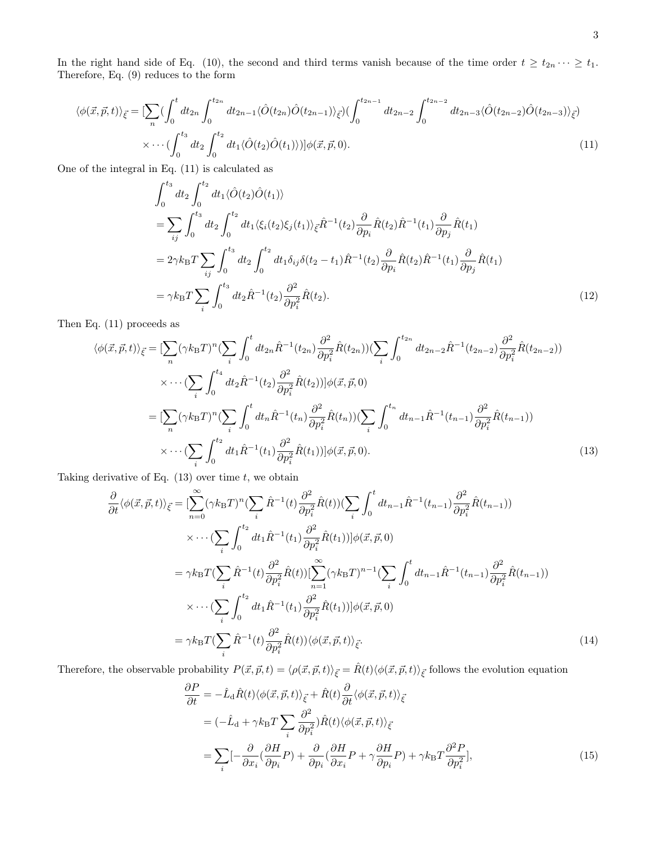In the right hand side of Eq. (10), the second and third terms vanish because of the time order  $t \ge t_{2n} \cdots \ge t_1$ . Therefore, Eq. (9) reduces to the form

$$
\langle \phi(\vec{x}, \vec{p}, t) \rangle_{\vec{\xi}} = \left[ \sum_{n} \left( \int_{0}^{t} dt_{2n} \int_{0}^{t_{2n}} dt_{2n-1} \langle \hat{O}(t_{2n}) \hat{O}(t_{2n-1}) \rangle_{\vec{\xi}} \right) \left( \int_{0}^{t_{2n-1}} dt_{2n-2} \int_{0}^{t_{2n-2}} dt_{2n-3} \langle \hat{O}(t_{2n-2}) \hat{O}(t_{2n-3}) \rangle_{\vec{\xi}} \right) \times \cdots \left( \int_{0}^{t_{3}} dt_{2} \int_{0}^{t_{2}} dt_{1} \langle \hat{O}(t_{2}) \hat{O}(t_{1}) \rangle \right) \left[ \phi(\vec{x}, \vec{p}, 0) \right]. \tag{11}
$$

One of the integral in Eq. (11) is calculated as

$$
\int_{0}^{t_{3}} dt_{2} \int_{0}^{t_{2}} dt_{1} \langle \hat{O}(t_{2}) \hat{O}(t_{1}) \rangle
$$
\n
$$
= \sum_{ij} \int_{0}^{t_{3}} dt_{2} \int_{0}^{t_{2}} dt_{1} \langle \xi_{i}(t_{2}) \xi_{j}(t_{1}) \rangle_{\vec{\xi}} \hat{R}^{-1}(t_{2}) \frac{\partial}{\partial p_{i}} \hat{R}(t_{2}) \hat{R}^{-1}(t_{1}) \frac{\partial}{\partial p_{j}} \hat{R}(t_{1})
$$
\n
$$
= 2\gamma k_{\text{B}} T \sum_{ij} \int_{0}^{t_{3}} dt_{2} \int_{0}^{t_{2}} dt_{1} \delta_{ij} \delta(t_{2} - t_{1}) \hat{R}^{-1}(t_{2}) \frac{\partial}{\partial p_{i}} \hat{R}(t_{2}) \hat{R}^{-1}(t_{1}) \frac{\partial}{\partial p_{j}} \hat{R}(t_{1})
$$
\n
$$
= \gamma k_{\text{B}} T \sum_{i} \int_{0}^{t_{3}} dt_{2} \hat{R}^{-1}(t_{2}) \frac{\partial^{2}}{\partial p_{i}^{2}} \hat{R}(t_{2}). \tag{12}
$$

Then Eq. (11) proceeds as

$$
\langle \phi(\vec{x}, \vec{p}, t) \rangle_{\vec{\xi}} = \left[ \sum_{n} (\gamma k_{\text{B}} T)^{n} \left( \sum_{i} \int_{0}^{t} dt_{2n} \hat{R}^{-1}(t_{2n}) \frac{\partial^{2}}{\partial p_{i}^{2}} \hat{R}(t_{2n}) \right) \left( \sum_{i} \int_{0}^{t_{2n}} dt_{2n-2} \hat{R}^{-1}(t_{2n-2}) \frac{\partial^{2}}{\partial p_{i}^{2}} \hat{R}(t_{2n-2}) \right) \times \cdots \left( \sum_{i} \int_{0}^{t_{4}} dt_{2} \hat{R}^{-1}(t_{2}) \frac{\partial^{2}}{\partial p_{i}^{2}} \hat{R}(t_{2}) \right) \left[ \phi(\vec{x}, \vec{p}, 0) \right]
$$
  
\n
$$
= \left[ \sum_{n} (\gamma k_{\text{B}} T)^{n} \left( \sum_{i} \int_{0}^{t} dt_{n} \hat{R}^{-1}(t_{n}) \frac{\partial^{2}}{\partial p_{i}^{2}} \hat{R}(t_{n}) \right) \left( \sum_{i} \int_{0}^{t_{n}} dt_{n-1} \hat{R}^{-1}(t_{n-1}) \frac{\partial^{2}}{\partial p_{i}^{2}} \hat{R}(t_{n-1}) \right) \times \cdots \left( \sum_{i} \int_{0}^{t_{2}} dt_{1} \hat{R}^{-1}(t_{1}) \frac{\partial^{2}}{\partial p_{i}^{2}} \hat{R}(t_{1}) \right) \left[ \phi(\vec{x}, \vec{p}, 0) \right]. \tag{13}
$$

Taking derivative of Eq.  $(13)$  over time t, we obtain

$$
\frac{\partial}{\partial t} \langle \phi(\vec{x}, \vec{p}, t) \rangle_{\vec{\xi}} = \left[ \sum_{n=0}^{\infty} (\gamma k_{\text{B}} T)^n (\sum_{i} \hat{R}^{-1}(t) \frac{\partial^2}{\partial p_i^2} \hat{R}(t)) (\sum_{i} \int_0^t dt_{n-1} \hat{R}^{-1}(t_{n-1}) \frac{\partial^2}{\partial p_i^2} \hat{R}(t_{n-1})) \right. \\
\times \cdots \left( \sum_{i} \int_0^{t_2} dt_1 \hat{R}^{-1}(t_1) \frac{\partial^2}{\partial p_i^2} \hat{R}(t_1)) \right] \phi(\vec{x}, \vec{p}, 0) \\
= \gamma k_{\text{B}} T (\sum_{i} \hat{R}^{-1}(t) \frac{\partial^2}{\partial p_i^2} \hat{R}(t)) [\sum_{n=1}^{\infty} (\gamma k_{\text{B}} T)^{n-1} (\sum_{i} \int_0^t dt_{n-1} \hat{R}^{-1}(t_{n-1}) \frac{\partial^2}{\partial p_i^2} \hat{R}(t_{n-1})) \newline \times \cdots \left( \sum_{i} \int_0^{t_2} dt_1 \hat{R}^{-1}(t_1) \frac{\partial^2}{\partial p_i^2} \hat{R}(t_1)) \right] \phi(\vec{x}, \vec{p}, 0) \\
= \gamma k_{\text{B}} T (\sum_{i} \hat{R}^{-1}(t) \frac{\partial^2}{\partial p_i^2} \hat{R}(t)) \langle \phi(\vec{x}, \vec{p}, t) \rangle_{\vec{\xi}}.
$$
\n(14)

Therefore, the observable probability  $P(\vec{x}, \vec{p}, t) = \langle \rho(\vec{x}, \vec{p}, t) \rangle_{\vec{\xi}} = \hat{R}(t) \langle \phi(\vec{x}, \vec{p}, t) \rangle_{\vec{\xi}}$  follows the evolution equation

$$
\frac{\partial P}{\partial t} = -\hat{L}_{\rm d}\hat{R}(t)\langle\phi(\vec{x},\vec{p},t)\rangle_{\vec{\xi}} + \hat{R}(t)\frac{\partial}{\partial t}\langle\phi(\vec{x},\vec{p},t)\rangle_{\vec{\xi}}
$$
\n
$$
= (-\hat{L}_{\rm d} + \gamma k_{\rm B}T\sum_{i}\frac{\partial^{2}}{\partial p_{i}^{2}})\hat{R}(t)\langle\phi(\vec{x},\vec{p},t)\rangle_{\vec{\xi}}
$$
\n
$$
= \sum_{i}[-\frac{\partial}{\partial x_{i}}(\frac{\partial H}{\partial p_{i}}P) + \frac{\partial}{\partial p_{i}}(\frac{\partial H}{\partial x_{i}}P + \gamma\frac{\partial H}{\partial p_{i}}P) + \gamma k_{\rm B}T\frac{\partial^{2}P}{\partial p_{i}^{2}}],
$$
\n(15)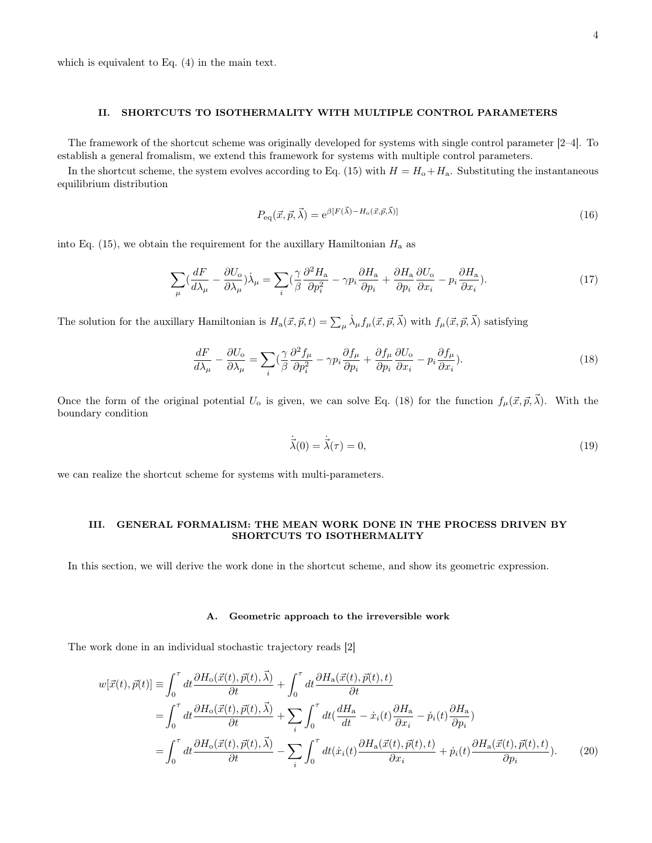which is equivalent to Eq. (4) in the main text.

#### II. SHORTCUTS TO ISOTHERMALITY WITH MULTIPLE CONTROL PARAMETERS

The framework of the shortcut scheme was originally developed for systems with single control parameter [2–4]. To establish a general fromalism, we extend this framework for systems with multiple control parameters.

In the shortcut scheme, the system evolves according to Eq. (15) with  $H = H_0 + H_a$ . Substituting the instantaneous equilibrium distribution

$$
P_{\text{eq}}(\vec{x}, \vec{p}, \vec{\lambda}) = e^{\beta [F(\vec{\lambda}) - H_{\text{o}}(\vec{x}, \vec{p}, \vec{\lambda})]}
$$
(16)

into Eq. (15), we obtain the requirement for the auxillary Hamiltonian  $H_a$  as

$$
\sum_{\mu} \left(\frac{dF}{d\lambda_{\mu}} - \frac{\partial U_{o}}{\partial \lambda_{\mu}}\right) \dot{\lambda}_{\mu} = \sum_{i} \left(\frac{\gamma}{\beta} \frac{\partial^{2} H_{a}}{\partial p_{i}^{2}} - \gamma p_{i} \frac{\partial H_{a}}{\partial p_{i}} + \frac{\partial H_{a}}{\partial p_{i}} \frac{\partial U_{o}}{\partial x_{i}} - p_{i} \frac{\partial H_{a}}{\partial x_{i}}\right).
$$
(17)

The solution for the auxillary Hamiltonian is  $H_a(\vec{x}, \vec{p}, t) = \sum_{\mu} \dot{\lambda}_{\mu} f_{\mu}(\vec{x}, \vec{p}, \vec{\lambda})$  with  $f_{\mu}(\vec{x}, \vec{p}, \vec{\lambda})$  satisfying

$$
\frac{dF}{d\lambda_{\mu}} - \frac{\partial U_{o}}{\partial \lambda_{\mu}} = \sum_{i} \left(\frac{\gamma}{\beta} \frac{\partial^{2} f_{\mu}}{\partial p_{i}^{2}} - \gamma p_{i} \frac{\partial f_{\mu}}{\partial p_{i}} + \frac{\partial f_{\mu}}{\partial p_{i}} \frac{\partial U_{o}}{\partial x_{i}} - p_{i} \frac{\partial f_{\mu}}{\partial x_{i}}\right).
$$
(18)

Once the form of the original potential  $U_o$  is given, we can solve Eq. (18) for the function  $f_\mu(\vec{x}, \vec{p}, \vec{\lambda})$ . With the boundary condition

$$
\dot{\vec{\lambda}}(0) = \dot{\vec{\lambda}}(\tau) = 0,\tag{19}
$$

we can realize the shortcut scheme for systems with multi-parameters.

## III. GENERAL FORMALISM: THE MEAN WORK DONE IN THE PROCESS DRIVEN BY SHORTCUTS TO ISOTHERMALITY

In this section, we will derive the work done in the shortcut scheme, and show its geometric expression.

#### A. Geometric approach to the irreversible work

The work done in an individual stochastic trajectory reads [2]

$$
w[\vec{x}(t), \vec{p}(t)] = \int_0^{\tau} dt \frac{\partial H_o(\vec{x}(t), \vec{p}(t), \vec{\lambda})}{\partial t} + \int_0^{\tau} dt \frac{\partial H_a(\vec{x}(t), \vec{p}(t), t)}{\partial t} = \int_0^{\tau} dt \frac{\partial H_o(\vec{x}(t), \vec{p}(t), \vec{\lambda})}{\partial t} + \sum_i \int_0^{\tau} dt \frac{dH_a}{dt} - \dot{x}_i(t) \frac{\partial H_a}{\partial x_i} - \dot{p}_i(t) \frac{\partial H_a}{\partial p_i}) = \int_0^{\tau} dt \frac{\partial H_o(\vec{x}(t), \vec{p}(t), \vec{\lambda})}{\partial t} - \sum_i \int_0^{\tau} dt (\dot{x}_i(t) \frac{\partial H_a(\vec{x}(t), \vec{p}(t), t)}{\partial x_i} + \dot{p}_i(t) \frac{\partial H_a(\vec{x}(t), \vec{p}(t), t)}{\partial p_i}).
$$
(20)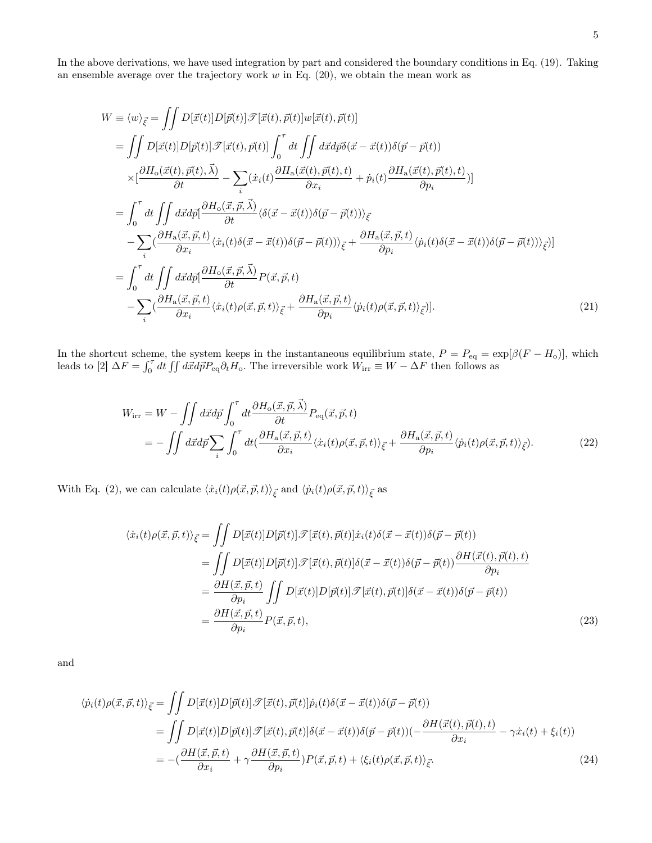In the above derivations, we have used integration by part and considered the boundary conditions in Eq. (19). Taking an ensemble average over the trajectory work  $w$  in Eq. (20), we obtain the mean work as

$$
W \equiv \langle w \rangle_{\vec{\xi}} = \iint D[\vec{x}(t)] D[\vec{p}(t)] \mathcal{F}[\vec{x}(t), \vec{p}(t)] w[\vec{x}(t), \vec{p}(t)]
$$
  
\n
$$
= \iint D[\vec{x}(t)] D[\vec{p}(t)] \mathcal{F}[\vec{x}(t), \vec{p}(t)] \int_{0}^{\tau} dt \iint d\vec{x} d\vec{p} \delta(\vec{x} - \vec{x}(t)) \delta(\vec{p} - \vec{p}(t))
$$
  
\n
$$
\times [\frac{\partial H_{\text{o}}(\vec{x}(t), \vec{p}(t), \vec{\lambda})}{\partial t} - \sum_{i} (\dot{x}_{i}(t) \frac{\partial H_{\text{a}}(\vec{x}(t), \vec{p}(t), t)}{\partial x_{i}} + \dot{p}_{i}(t) \frac{\partial H_{\text{a}}(\vec{x}(t), \vec{p}(t), t)}{\partial p_{i}})]
$$
  
\n
$$
= \int_{0}^{\tau} dt \iint d\vec{x} d\vec{p} [\frac{\partial H_{\text{o}}(\vec{x}, \vec{p}, \vec{\lambda})}{\partial t} \langle \delta(\vec{x} - \vec{x}(t)) \delta(\vec{p} - \vec{p}(t)) \rangle_{\vec{\xi}} + \frac{\partial H_{\text{a}}(\vec{x}, \vec{p}, t)}{\partial p_{i}} \langle \dot{p}_{i}(t) \delta(\vec{x} - \vec{x}(t)) \delta(\vec{p} - \vec{p}(t)) \rangle_{\vec{\xi}})]
$$
  
\n
$$
= \int_{0}^{\tau} dt \iint d\vec{x} d\vec{p} [\frac{\partial H_{\text{o}}(\vec{x}, \vec{p}, \vec{\lambda})}{\partial t} P(\vec{x}, \vec{p}, t)
$$
  
\n
$$
- \sum_{i} (\frac{\partial H_{\text{a}}(\vec{x}, \vec{p}, t)}{\partial x_{i}} \langle \dot{x}_{i}(t) \rho(\vec{x}, \vec{p}, t) \rangle_{\vec{\xi}} + \frac{\partial H_{\text{a}}(\vec{x}, \vec{p}, t)}{\partial p_{i}} \langle \dot{p}_{i}(t) \rho(\vec{x}, \vec{p}, t) \rangle_{\vec{\xi}})].
$$
  
\n(21)

In the shortcut scheme, the system keeps in the instantaneous equilibrium state,  $P = P_{eq} = \exp[\beta(F - H_o)]$ , which leads to [2]  $\Delta F = \int_0^{\tau} dt \iint d\vec{x} d\vec{p} P_{\text{eq}} \partial_t H_o$ . The irreversible work  $\vec{W}_{\text{irr}} \equiv W - \Delta F$  then follows as

$$
W_{\text{irr}} = W - \iint d\vec{x} d\vec{p} \int_0^{\tau} dt \frac{\partial H_o(\vec{x}, \vec{p}, \vec{\lambda})}{\partial t} P_{\text{eq}}(\vec{x}, \vec{p}, t)
$$
  
= 
$$
- \iint d\vec{x} d\vec{p} \sum_i \int_0^{\tau} dt \left( \frac{\partial H_a(\vec{x}, \vec{p}, t)}{\partial x_i} \langle \dot{x}_i(t) \rho(\vec{x}, \vec{p}, t) \rangle_{\vec{\xi}} + \frac{\partial H_a(\vec{x}, \vec{p}, t)}{\partial p_i} \langle \dot{p}_i(t) \rho(\vec{x}, \vec{p}, t) \rangle_{\vec{\xi}} \right).
$$
(22)

With Eq. (2), we can calculate  $\langle \dot{x}_i(t)\rho(\vec{x}, \vec{p}, t)\rangle_{\vec{\xi}}$  and  $\langle \dot{p}_i(t)\rho(\vec{x}, \vec{p}, t)\rangle_{\vec{\xi}}$  as

$$
\langle \dot{x}_i(t)\rho(\vec{x},\vec{p},t)\rangle_{\vec{\xi}} = \iint D[\vec{x}(t)]D[\vec{p}(t)]\mathcal{F}[\vec{x}(t),\vec{p}(t)]\dot{x}_i(t)\delta(\vec{x}-\vec{x}(t))\delta(\vec{p}-\vec{p}(t))
$$
  
\n
$$
= \iint D[\vec{x}(t)]D[\vec{p}(t)]\mathcal{F}[\vec{x}(t),\vec{p}(t)]\delta(\vec{x}-\vec{x}(t))\delta(\vec{p}-\vec{p}(t))\frac{\partial H(\vec{x}(t),\vec{p}(t),t)}{\partial p_i}
$$
  
\n
$$
= \frac{\partial H(\vec{x},\vec{p},t)}{\partial p_i} \iint D[\vec{x}(t)]D[\vec{p}(t)]\mathcal{F}[\vec{x}(t),\vec{p}(t)]\delta(\vec{x}-\vec{x}(t))\delta(\vec{p}-\vec{p}(t))
$$
  
\n
$$
= \frac{\partial H(\vec{x},\vec{p},t)}{\partial p_i}P(\vec{x},\vec{p},t),
$$
\n(23)

and

$$
\langle \dot{p}_i(t)\rho(\vec{x},\vec{p},t)\rangle_{\vec{\xi}} = \iint D[\vec{x}(t)]D[\vec{p}(t)]\mathcal{F}[\vec{x}(t),\vec{p}(t)]\dot{p}_i(t)\delta(\vec{x}-\vec{x}(t))\delta(\vec{p}-\vec{p}(t))
$$
  
\n
$$
= \iint D[\vec{x}(t)]D[\vec{p}(t)]\mathcal{F}[\vec{x}(t),\vec{p}(t)]\delta(\vec{x}-\vec{x}(t))\delta(\vec{p}-\vec{p}(t))(-\frac{\partial H(\vec{x}(t),\vec{p}(t),t)}{\partial x_i} - \gamma \dot{x}_i(t) + \xi_i(t))
$$
  
\n
$$
= -(\frac{\partial H(\vec{x},\vec{p},t)}{\partial x_i} + \gamma \frac{\partial H(\vec{x},\vec{p},t)}{\partial p_i})P(\vec{x},\vec{p},t) + \langle \xi_i(t)\rho(\vec{x},\vec{p},t)\rangle_{\vec{\xi}}.
$$
\n(24)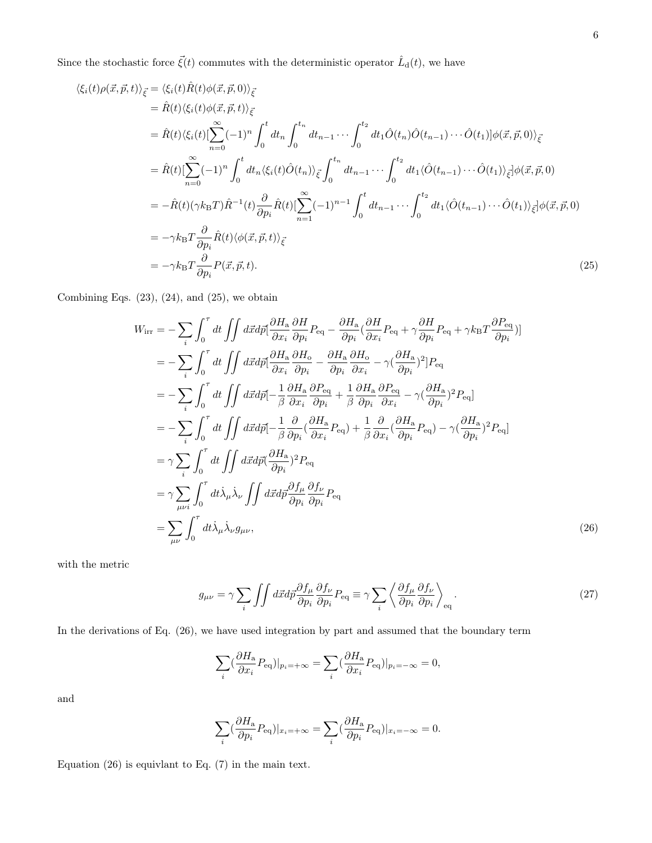Since the stochastic force  $\vec{\xi}(t)$  commutes with the deterministic operator  $\hat{L}_{d}(t)$ , we have

$$
\langle \xi_i(t)\rho(\vec{x},\vec{p},t)\rangle_{\vec{\xi}} = \langle \xi_i(t)\hat{R}(t)\phi(\vec{x},\vec{p},0)\rangle_{\vec{\xi}}
$$
  
\n
$$
= \hat{R}(t)\langle \xi_i(t)\hat{R}(t)\phi(\vec{x},\vec{p},t)\rangle_{\vec{\xi}}
$$
  
\n
$$
= \hat{R}(t)\langle \xi_i(t)[\sum_{n=0}^{\infty}(-1)^n \int_0^t dt_n \int_0^{t_n} dt_{n-1} \cdots \int_0^{t_2} dt_1 \hat{O}(t_n) \hat{O}(t_{n-1}) \cdots \hat{O}(t_1)]\phi(\vec{x},\vec{p},0)\rangle_{\vec{\xi}}
$$
  
\n
$$
= \hat{R}(t)[\sum_{n=0}^{\infty}(-1)^n \int_0^t dt_n \langle \xi_i(t)\hat{O}(t_n)\rangle_{\vec{\xi}} \int_0^{t_n} dt_{n-1} \cdots \int_0^{t_2} dt_1 \langle \hat{O}(t_{n-1}) \cdots \hat{O}(t_1)\rangle_{\vec{\xi}}]\phi(\vec{x},\vec{p},0)
$$
  
\n
$$
= -\hat{R}(t)(\gamma k_B T)\hat{R}^{-1}(t)\frac{\partial}{\partial p_i}\hat{R}(t)[\sum_{n=1}^{\infty}(-1)^{n-1} \int_0^t dt_{n-1} \cdots \int_0^{t_2} dt_1 \langle \hat{O}(t_{n-1}) \cdots \hat{O}(t_1)\rangle_{\vec{\xi}}]\phi(\vec{x},\vec{p},0)
$$
  
\n
$$
= -\gamma k_B T \frac{\partial}{\partial p_i}\hat{R}(t)\langle \phi(\vec{x},\vec{p},t)\rangle_{\vec{\xi}}
$$
  
\n
$$
= -\gamma k_B T \frac{\partial}{\partial p_i}P(\vec{x},\vec{p},t).
$$
 (25)

Combining Eqs.  $(23)$ ,  $(24)$ , and  $(25)$ , we obtain

$$
W_{\text{irr}} = -\sum_{i} \int_{0}^{\tau} dt \iint d\vec{x} d\vec{p} \left[ \frac{\partial H_{\text{a}}}{\partial x_{i}} \frac{\partial H}{\partial p_{i}} P_{\text{eq}} - \frac{\partial H_{\text{a}}}{\partial p_{i}} (\frac{\partial H}{\partial x_{i}} P_{\text{eq}} + \gamma \frac{\partial H}{\partial p_{i}} P_{\text{eq}} + \gamma k_{\text{B}} T \frac{\partial P_{\text{eq}}}{\partial p_{i}}) \right]
$$
  
\n
$$
= -\sum_{i} \int_{0}^{\tau} dt \iint d\vec{x} d\vec{p} \left[ \frac{\partial H_{\text{a}}}{\partial x_{i}} \frac{\partial H_{\text{o}}}{\partial p_{i}} - \frac{\partial H_{\text{a}}}{\partial p_{i}} \frac{\partial H_{\text{o}}}{\partial x_{i}} - \gamma (\frac{\partial H_{\text{a}}}{\partial p_{i}})^{2} \right] P_{\text{eq}}
$$
  
\n
$$
= -\sum_{i} \int_{0}^{\tau} dt \iint d\vec{x} d\vec{p} \left[ -\frac{1}{\beta} \frac{\partial H_{\text{a}}}{\partial x_{i}} \frac{\partial P_{\text{eq}}}{\partial p_{i}} + \frac{1}{\beta} \frac{\partial H_{\text{a}}}{\partial p_{i}} \frac{\partial P_{\text{eq}}}{\partial x_{i}} - \gamma (\frac{\partial H_{\text{a}}}{\partial p_{i}})^{2} P_{\text{eq}} \right]
$$
  
\n
$$
= -\sum_{i} \int_{0}^{\tau} dt \iint d\vec{x} d\vec{p} \left[ -\frac{1}{\beta} \frac{\partial}{\partial p_{i}} (\frac{\partial H_{\text{a}}}{\partial x_{i}} P_{\text{eq}}) + \frac{1}{\beta} \frac{\partial}{\partial x_{i}} (\frac{\partial H_{\text{a}}}{\partial p_{i}} P_{\text{eq}}) - \gamma (\frac{\partial H_{\text{a}}}{\partial p_{i}})^{2} P_{\text{eq}} \right]
$$
  
\n
$$
= \gamma \sum_{i} \int_{0}^{\tau} dt \iint dt \lambda \mu \lambda_{\nu} \iint d\vec{x} d\vec{p} \left[ \frac{\partial H_{\text{a}}}{\partial p_{i}} \frac{\partial f_{\nu}}{\partial p_{i}} P
$$

with the metric

$$
g_{\mu\nu} = \gamma \sum_{i} \int \int d\vec{x} d\vec{p} \frac{\partial f_{\mu}}{\partial p_{i}} \frac{\partial f_{\nu}}{\partial p_{i}} P_{\text{eq}} \equiv \gamma \sum_{i} \left\langle \frac{\partial f_{\mu}}{\partial p_{i}} \frac{\partial f_{\nu}}{\partial p_{i}} \right\rangle_{\text{eq}}.
$$
 (27)

In the derivations of Eq. (26), we have used integration by part and assumed that the boundary term

$$
\sum_{i} \left(\frac{\partial H_{\rm a}}{\partial x_{i}} P_{\rm eq}\right)|_{p_{i}=+\infty} = \sum_{i} \left(\frac{\partial H_{\rm a}}{\partial x_{i}} P_{\rm eq}\right)|_{p_{i}=-\infty} = 0,
$$

and

$$
\sum_{i} \left(\frac{\partial H_{\rm a}}{\partial p_i} P_{\rm eq}\right)|_{x_i = +\infty} = \sum_{i} \left(\frac{\partial H_{\rm a}}{\partial p_i} P_{\rm eq}\right)|_{x_i = -\infty} = 0.
$$

Equation (26) is equivlant to Eq. (7) in the main text.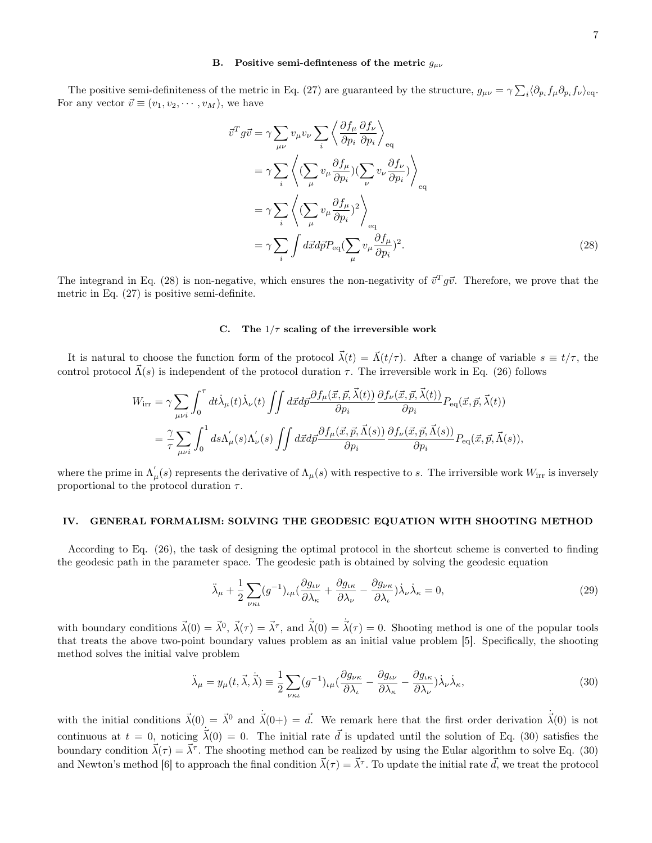### B. Positive semi-definiteness of the metric  $g_{\mu\nu}$

The positive semi-definiteness of the metric in Eq. (27) are guaranteed by the structure,  $g_{\mu\nu} = \gamma \sum_i \langle \partial_{p_i} f_\mu \partial_{p_i} f_\nu \rangle_{\text{eq}}$ . For any vector  $\vec{v} \equiv (v_1, v_2, \cdots, v_M)$ , we have

$$
\vec{v}^T g \vec{v} = \gamma \sum_{\mu\nu} v_{\mu} v_{\nu} \sum_{i} \left\langle \frac{\partial f_{\mu}}{\partial p_i} \frac{\partial f_{\nu}}{\partial p_i} \right\rangle_{\text{eq}}
$$
\n
$$
= \gamma \sum_{i} \left\langle (\sum_{\mu} v_{\mu} \frac{\partial f_{\mu}}{\partial p_i}) (\sum_{\nu} v_{\nu} \frac{\partial f_{\nu}}{\partial p_i}) \right\rangle_{\text{eq}}
$$
\n
$$
= \gamma \sum_{i} \left\langle (\sum_{\mu} v_{\mu} \frac{\partial f_{\mu}}{\partial p_i})^2 \right\rangle_{\text{eq}}
$$
\n
$$
= \gamma \sum_{i} \int d\vec{x} d\vec{p} P_{\text{eq}} (\sum_{\mu} v_{\mu} \frac{\partial f_{\mu}}{\partial p_i})^2.
$$
\n(28)

The integrand in Eq. (28) is non-negative, which ensures the non-negativity of  $\vec{v}^T g \vec{v}$ . Therefore, we prove that the metric in Eq. (27) is positive semi-definite.

#### C. The  $1/\tau$  scaling of the irreversible work

It is natural to choose the function form of the protocol  $\vec{\lambda}(t) = \vec{\Lambda}(t/\tau)$ . After a change of variable  $s \equiv t/\tau$ , the control protocol  $\vec{\Lambda}(s)$  is independent of the protocol duration  $\tau$ . The irreversible work in Eq. (26) follows

$$
W_{\text{irr}} = \gamma \sum_{\mu\nu i} \int_0^{\tau} dt \dot{\lambda}_{\mu}(t) \dot{\lambda}_{\nu}(t) \iint d\vec{x} d\vec{p} \frac{\partial f_{\mu}(\vec{x}, \vec{p}, \vec{\lambda}(t))}{\partial p_i} \frac{\partial f_{\nu}(\vec{x}, \vec{p}, \vec{\lambda}(t))}{\partial p_i} P_{\text{eq}}(\vec{x}, \vec{p}, \vec{\lambda}(t))
$$
  

$$
= \frac{\gamma}{\tau} \sum_{\mu\nu i} \int_0^1 ds \Lambda_{\mu}(s) \Lambda_{\nu}(s) \iint d\vec{x} d\vec{p} \frac{\partial f_{\mu}(\vec{x}, \vec{p}, \vec{\Lambda}(s))}{\partial p_i} \frac{\partial f_{\nu}(\vec{x}, \vec{p}, \vec{\Lambda}(s))}{\partial p_i} P_{\text{eq}}(\vec{x}, \vec{p}, \vec{\Lambda}(s)),
$$

where the prime in  $\Lambda_{\mu}(s)$  represents the derivative of  $\Lambda_{\mu}(s)$  with respective to s. The irriversible work  $W_{irr}$  is inversely proportional to the protocol duration  $\tau$ .

#### IV. GENERAL FORMALISM: SOLVING THE GEODESIC EQUATION WITH SHOOTING METHOD

According to Eq. (26), the task of designing the optimal protocol in the shortcut scheme is converted to finding the geodesic path in the parameter space. The geodesic path is obtained by solving the geodesic equation

$$
\ddot{\lambda}_{\mu} + \frac{1}{2} \sum_{\nu \kappa \iota} (g^{-1})_{\iota \mu} (\frac{\partial g_{\iota \nu}}{\partial \lambda_{\kappa}} + \frac{\partial g_{\iota \kappa}}{\partial \lambda_{\nu}} - \frac{\partial g_{\nu \kappa}}{\partial \lambda_{\iota}}) \dot{\lambda}_{\nu} \dot{\lambda}_{\kappa} = 0, \tag{29}
$$

with boundary conditions  $\vec{\lambda}(0) = \vec{\lambda}^0$ ,  $\vec{\lambda}(\tau) = \vec{\lambda}^{\tau}$ , and  $\dot{\vec{\lambda}}(0) = \dot{\vec{\lambda}}(\tau) = 0$ . Shooting method is one of the popular tools that treats the above two-point boundary values problem as an initial value problem [5]. Specifically, the shooting method solves the initial valve problem

$$
\ddot{\lambda}_{\mu} = y_{\mu}(t, \vec{\lambda}, \dot{\vec{\lambda}}) \equiv \frac{1}{2} \sum_{\nu \kappa \iota} (g^{-1})_{\iota \mu} (\frac{\partial g_{\nu \kappa}}{\partial \lambda_{\iota}} - \frac{\partial g_{\iota \nu}}{\partial \lambda_{\kappa}} - \frac{\partial g_{\iota \kappa}}{\partial \lambda_{\nu}}) \dot{\lambda}_{\nu} \dot{\lambda}_{\kappa}, \tag{30}
$$

with the initial conditions  $\vec{\lambda}(0) = \vec{\lambda}^0$  and  $\dot{\vec{\lambda}}(0+) = \vec{d}$ . We remark here that the first order derivation  $\dot{\vec{\lambda}}(0)$  is not continuous at  $t = 0$ , noticing  $\vec{\lambda}(0) = 0$ . The initial rate  $\vec{d}$  is updated until the solution of Eq. (30) satisfies the boundary condition  $\vec{\lambda}(\tau) = \vec{\lambda}^{\tau}$ . The shooting method can be realized by using the Eular algorithm to solve Eq. (30) and Newton's method [6] to approach the final condition  $\vec{\lambda}(\tau) = \vec{\lambda}^{\tau}$ . To update the initial rate  $\vec{d}$ , we treat the protocol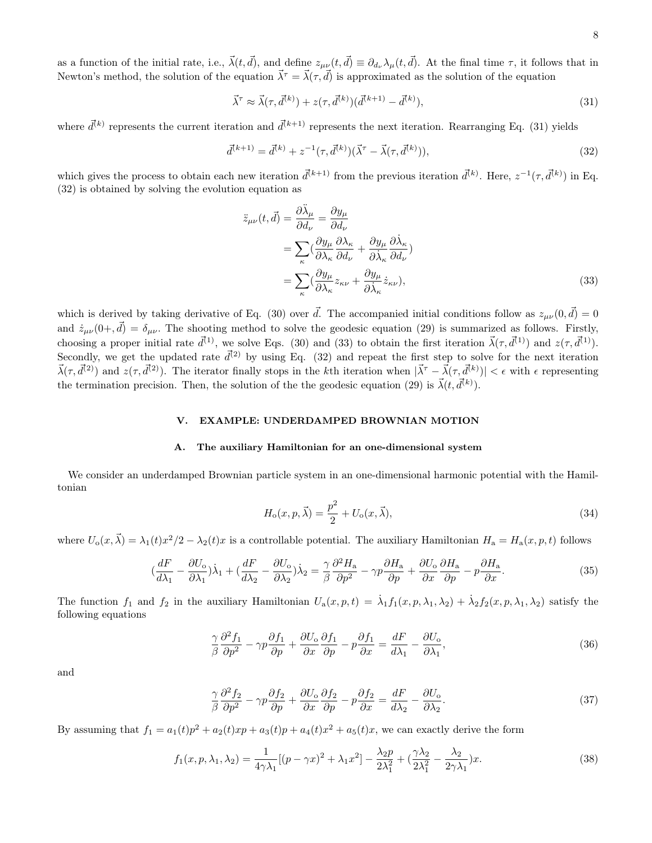8

as a function of the initial rate, i.e.,  $\vec{\lambda}(t, \vec{d})$ , and define  $z_{\mu\nu}(t, \vec{d}) \equiv \partial_{d_{\nu}} \lambda_{\mu}(t, \vec{d})$ . At the final time  $\tau$ , it follows that in Newton's method, the solution of the equation  $\vec{\lambda}^{\tau} = \vec{\lambda}(\tau, \vec{d})$  is approximated as the solution of the equation

$$
\vec{\lambda}^{\tau} \approx \vec{\lambda}(\tau, \vec{d}^{(k)}) + z(\tau, \vec{d}^{(k)}) (\vec{d}^{(k+1)} - \vec{d}^{(k)}), \tag{31}
$$

where  $\vec{d}^{(k)}$  represents the current iteration and  $\vec{d}^{(k+1)}$  represents the next iteration. Rearranging Eq. (31) yields

$$
\vec{d}^{(k+1)} = \vec{d}^{(k)} + z^{-1}(\tau, \vec{d}^{(k)})(\vec{\lambda}^{\tau} - \vec{\lambda}(\tau, \vec{d}^{(k)})),\tag{32}
$$

which gives the process to obtain each new iteration  $\vec{d}^{(k+1)}$  from the previous iteration  $\vec{d}^{(k)}$ . Here,  $z^{-1}(\tau, \vec{d}^{(k)})$  in Eq. (32) is obtained by solving the evolution equation as

$$
\ddot{z}_{\mu\nu}(t,\vec{d}) = \frac{\partial \ddot{\lambda}_{\mu}}{\partial d_{\nu}} = \frac{\partial y_{\mu}}{\partial d_{\nu}} \n= \sum_{\kappa} (\frac{\partial y_{\mu}}{\partial \lambda_{\kappa}} \frac{\partial \lambda_{\kappa}}{\partial d_{\nu}} + \frac{\partial y_{\mu}}{\partial \dot{\lambda}_{\kappa}} \frac{\partial \dot{\lambda}_{\kappa}}{\partial d_{\nu}}) \n= \sum_{\kappa} (\frac{\partial y_{\mu}}{\partial \lambda_{\kappa}} z_{\kappa\nu} + \frac{\partial y_{\mu}}{\partial \dot{\lambda}_{\kappa}} \dot{z}_{\kappa\nu}),
$$
\n(33)

which is derived by taking derivative of Eq. (30) over  $\vec{d}$ . The accompanied initial conditions follow as  $z_{\mu\nu}(0,\vec{d})=0$ and  $\dot{z}_{\mu\nu}(0+, \vec{d}) = \delta_{\mu\nu}$ . The shooting method to solve the geodesic equation (29) is summarized as follows. Firstly, choosing a proper initial rate  $\vec{d}^{(1)}$ , we solve Eqs. (30) and (33) to obtain the first iteration  $\vec{\lambda}(\tau, \vec{d}^{(1)})$  and  $z(\tau, \vec{d}^{(1)})$ . Secondly, we get the updated rate  $\vec{d}^{(2)}$  by using Eq. (32) and repeat the first step to solve for the next iteration  $\vec{\lambda}(\tau, \vec{d}^{(2)})$  and  $z(\tau, \vec{d}^{(2)})$ . The iterator finally stops in the kth iteration when  $|\vec{\lambda}^{\tau} - \vec{\lambda}(\tau, \vec{d}^{(k)})| < \epsilon$  with  $\epsilon$  representing the termination precision. Then, the solution of the the geodesic equation (29) is  $\vec{\lambda}(t, \vec{d}^{(k)})$ .

## V. EXAMPLE: UNDERDAMPED BROWNIAN MOTION

#### A. The auxiliary Hamiltonian for an one-dimensional system

We consider an underdamped Brownian particle system in an one-dimensional harmonic potential with the Hamiltonian

$$
H_o(x, p, \vec{\lambda}) = \frac{p^2}{2} + U_o(x, \vec{\lambda}),\tag{34}
$$

where  $U_o(x, \vec{\lambda}) = \lambda_1(t)x^2/2 - \lambda_2(t)x$  is a controllable potential. The auxiliary Hamiltonian  $H_a = H_a(x, p, t)$  follows

$$
\left(\frac{dF}{d\lambda_1} - \frac{\partial U_o}{\partial \lambda_1}\right)\dot{\lambda}_1 + \left(\frac{dF}{d\lambda_2} - \frac{\partial U_o}{\partial \lambda_2}\right)\dot{\lambda}_2 = \frac{\gamma}{\beta}\frac{\partial^2 H_a}{\partial p^2} - \gamma p\frac{\partial H_a}{\partial p} + \frac{\partial U_o}{\partial x}\frac{\partial H_a}{\partial p} - p\frac{\partial H_a}{\partial x}.\tag{35}
$$

The function  $f_1$  and  $f_2$  in the auxiliary Hamiltonian  $U_a(x, p, t) = \lambda_1 f_1(x, p, \lambda_1, \lambda_2) + \lambda_2 f_2(x, p, \lambda_1, \lambda_2)$  satisfy the following equations

$$
\frac{\gamma}{\beta} \frac{\partial^2 f_1}{\partial p^2} - \gamma p \frac{\partial f_1}{\partial p} + \frac{\partial U_o}{\partial x} \frac{\partial f_1}{\partial p} - p \frac{\partial f_1}{\partial x} = \frac{dF}{d\lambda_1} - \frac{\partial U_o}{\partial \lambda_1},\tag{36}
$$

and

$$
\frac{\gamma}{\beta} \frac{\partial^2 f_2}{\partial p^2} - \gamma p \frac{\partial f_2}{\partial p} + \frac{\partial U_o}{\partial x} \frac{\partial f_2}{\partial p} - p \frac{\partial f_2}{\partial x} = \frac{dF}{d\lambda_2} - \frac{\partial U_o}{\partial \lambda_2}.
$$
\n(37)

By assuming that  $f_1 = a_1(t)p^2 + a_2(t)xp + a_3(t)p + a_4(t)x^2 + a_5(t)x$ , we can exactly derive the form

$$
f_1(x, p, \lambda_1, \lambda_2) = \frac{1}{4\gamma\lambda_1} \left[ (p - \gamma x)^2 + \lambda_1 x^2 \right] - \frac{\lambda_2 p}{2\lambda_1^2} + \left( \frac{\gamma\lambda_2}{2\lambda_1^2} - \frac{\lambda_2}{2\gamma\lambda_1} \right) x. \tag{38}
$$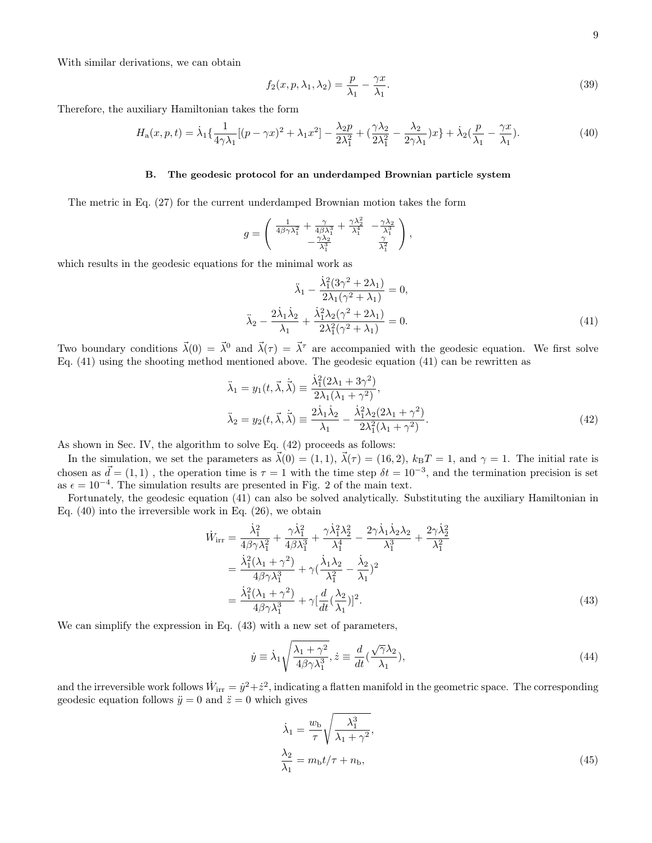With similar derivations, we can obtain

$$
f_2(x, p, \lambda_1, \lambda_2) = \frac{p}{\lambda_1} - \frac{\gamma x}{\lambda_1}.
$$
\n(39)

Therefore, the auxiliary Hamiltonian takes the form

$$
H_a(x, p, t) = \dot{\lambda}_1 \left\{ \frac{1}{4\gamma \lambda_1} \left[ (p - \gamma x)^2 + \lambda_1 x^2 \right] - \frac{\lambda_2 p}{2\lambda_1^2} + \left( \frac{\gamma \lambda_2}{2\lambda_1^2} - \frac{\lambda_2}{2\gamma \lambda_1} \right) x \right\} + \dot{\lambda}_2 \left( \frac{p}{\lambda_1} - \frac{\gamma x}{\lambda_1} \right). \tag{40}
$$

## B. The geodesic protocol for an underdamped Brownian particle system

The metric in Eq. (27) for the current underdamped Brownian motion takes the form

$$
g = \begin{pmatrix} \frac{1}{4\beta\gamma\lambda_1^2} + \frac{\gamma}{4\beta\lambda_1^3} + \frac{\gamma\lambda_2^2}{\lambda_1^4} & -\frac{\gamma\lambda_2}{\lambda_1^3} \\ -\frac{\gamma\lambda_2}{\lambda_1^3} & \frac{\gamma}{\lambda_1^2} \end{pmatrix},
$$

which results in the geodesic equations for the minimal work as

$$
\ddot{\lambda}_1 - \frac{\dot{\lambda}_1^2 (3\gamma^2 + 2\lambda_1)}{2\lambda_1 (\gamma^2 + \lambda_1)} = 0,
$$
  

$$
\ddot{\lambda}_2 - \frac{2\dot{\lambda}_1 \dot{\lambda}_2}{\lambda_1} + \frac{\dot{\lambda}_1^2 \lambda_2 (\gamma^2 + 2\lambda_1)}{2\lambda_1^2 (\gamma^2 + \lambda_1)} = 0.
$$
 (41)

Two boundary conditions  $\vec{\lambda}(0) = \vec{\lambda}^0$  and  $\vec{\lambda}(\tau) = \vec{\lambda}^{\tau}$  are accompanied with the geodesic equation. We first solve Eq. (41) using the shooting method mentioned above. The geodesic equation (41) can be rewritten as

$$
\ddot{\lambda}_1 = y_1(t, \vec{\lambda}, \dot{\vec{\lambda}}) \equiv \frac{\dot{\lambda}_1^2 (2\lambda_1 + 3\gamma^2)}{2\lambda_1 (\lambda_1 + \gamma^2)},
$$
\n
$$
\ddot{\lambda}_2 = y_2(t, \vec{\lambda}, \dot{\vec{\lambda}}) \equiv \frac{2\dot{\lambda}_1 \dot{\lambda}_2}{\lambda_1} - \frac{\dot{\lambda}_1^2 \lambda_2 (2\lambda_1 + \gamma^2)}{2\lambda_1^2 (\lambda_1 + \gamma^2)}.
$$
\n(42)

As shown in Sec. IV, the algorithm to solve Eq. (42) proceeds as follows:

In the simulation, we set the parameters as  $\vec{\lambda}(0) = (1, 1), \vec{\lambda}(\tau) = (16, 2), k_B T = 1$ , and  $\gamma = 1$ . The initial rate is chosen as  $\vec{d} = (1, 1)$ , the operation time is  $\tau = 1$  with the time step  $\delta t = 10^{-3}$ , and the termination precision is set as  $\epsilon = 10^{-4}$ . The simulation results are presented in Fig. 2 of the main text.

Fortunately, the geodesic equation (41) can also be solved analytically. Substituting the auxiliary Hamiltonian in Eq. (40) into the irreversible work in Eq. (26), we obtain

$$
\dot{W}_{irr} = \frac{\dot{\lambda}_1^2}{4\beta\gamma\lambda_1^2} + \frac{\gamma\dot{\lambda}_1^2}{4\beta\lambda_1^3} + \frac{\gamma\dot{\lambda}_1^2\lambda_2^2}{\lambda_1^4} - \frac{2\gamma\dot{\lambda}_1\dot{\lambda}_2\lambda_2}{\lambda_1^3} + \frac{2\gamma\dot{\lambda}_2^2}{\lambda_1^2}
$$
\n
$$
= \frac{\dot{\lambda}_1^2(\lambda_1 + \gamma^2)}{4\beta\gamma\lambda_1^3} + \gamma(\frac{\dot{\lambda}_1\lambda_2}{\lambda_1^2} - \frac{\dot{\lambda}_2}{\lambda_1})^2
$$
\n
$$
= \frac{\dot{\lambda}_1^2(\lambda_1 + \gamma^2)}{4\beta\gamma\lambda_1^3} + \gamma[\frac{d}{dt}(\frac{\lambda_2}{\lambda_1})]^2.
$$
\n(43)

We can simplify the expression in Eq. (43) with a new set of parameters,

$$
\dot{y} \equiv \dot{\lambda}_1 \sqrt{\frac{\lambda_1 + \gamma^2}{4\beta\gamma\lambda_1^3}}, \dot{z} \equiv \frac{d}{dt} (\frac{\sqrt{\gamma\lambda_2}}{\lambda_1}),\tag{44}
$$

and the irreversible work follows  $\dot{W}_{irr} = \dot{y}^2 + \dot{z}^2$ , indicating a flatten manifold in the geometric space. The corresponding geodesic equation follows  $\ddot{y} = 0$  and  $\ddot{z} = 0$  which gives

$$
\dot{\lambda}_1 = \frac{w_{\rm b}}{\tau} \sqrt{\frac{\lambda_1^3}{\lambda_1 + \gamma^2}},
$$
\n
$$
\frac{\lambda_2}{\lambda_1} = m_{\rm b} t / \tau + n_{\rm b},
$$
\n(45)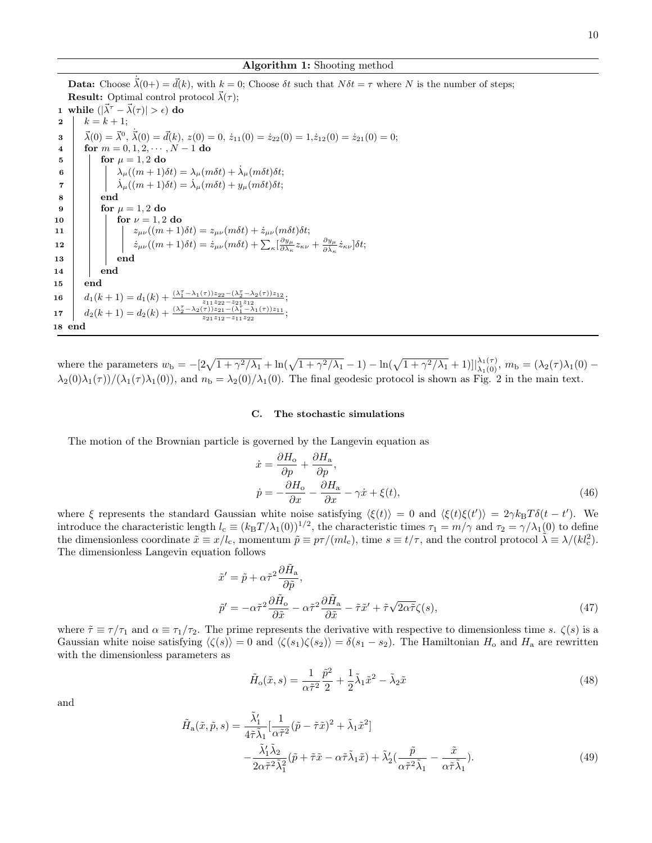**Data:** Choose  $\vec{\lambda}(0+) = \vec{d}(k)$ , with  $k = 0$ ; Choose  $\delta t$  such that  $N\delta t = \tau$  where N is the number of steps;

10

 $\vec{\lambda}(0) = \vec{\lambda}^0$ ,  $\dot{\vec{\lambda}}(0) = \vec{d}(k)$ ,  $z(0) = 0$ ,  $\dot{z}_{11}(0) = \dot{z}_{22}(0) = 1$ ,  $\dot{z}_{12}(0) = \dot{z}_{21}(0) = 0$ ; 4 for  $m = 0, 1, 2, \dots, N - 1$  do<br>5 for  $\mu = 1, 2$  do for  $\mu = 1, 2$  do 6  $\Box$   $\lambda_{\mu}((m+1)\delta t) = \lambda_{\mu}(m\delta t) + \dot{\lambda}_{\mu}(m\delta t)\delta t;$  $\begin{array}{ll} \tau & | & | & \dot{\lambda}_{\mu}((m+1)\delta t)=\dot{\lambda}_{\mu}(m\delta t)+y_{\mu}(m\delta t)\delta t; \end{array}$  $8 \mid \cdot \cdot$  end 9 | for  $\mu = 1, 2$  do 10 **for**  $\nu = 1, 2$  do 11  $\vert$   $\vert$   $\vert$   $\vert$   $\vert$   $z_{\mu\nu}((m+1)\delta t) = z_{\mu\nu}(m\delta t) + \dot{z}_{\mu\nu}(m\delta t)\delta t;$ 12  $\begin{array}{|c|c|} \hline \rule{0pt}{12pt}\quad & \dot{z}_{\mu\nu}((m+1)\delta t)=\dot{z}_{\mu\nu}(m\delta t)+\sum_\kappa[\frac{\partial y_\mu}{\partial \lambda_\kappa}z_{\kappa\nu}+\frac{\partial y_\mu}{\partial \dot{\lambda}_\kappa}\dot{z}_{\kappa\nu}]\delta t; \hline \end{array}$ 13 | | | end 14 end 15 end 16  $d_1(k+1) = d_1(k) + \frac{(\lambda_1^T - \lambda_1(\tau))z_{22} - (\lambda_2^T - \lambda_2(\tau))z_{12}}{z_{11}z_{22} - z_{21}z_{12}};$ 17  $d_2(k+1) = d_2(k) + \frac{(\lambda_2^{\tau} - \lambda_2(\tau))z_{21} - (\lambda_1^{\tau} - \lambda_1(\tau))z_{11}}{z_{21}z_{12} - z_{11}z_{22}};$ 18 end where the parameters  $w_{\rm b} = -[2\sqrt{1 + \gamma^2/\lambda_1} + \ln(\sqrt{1 + \gamma^2/\lambda_1} - 1) - \ln(\sqrt{1 + \gamma^2/\lambda_1} + 1)]\Big|_{\lambda_1(0)}^{\lambda_1(\tau)}$ ,  $m_{\rm b} = (\lambda_2(\tau)\lambda_1(0) \lambda_2(0)\lambda_1(\tau) /(\lambda_1(\tau)\lambda_1(0))$ , and  $n_\text{b} = \lambda_2(0) / \lambda_1(0)$ . The final geodesic protocol is shown as Fig. 2 in the main text.

**Result:** Optimal control protocol  $\vec{\lambda}(\tau)$ ;

1 while  $(|\vec{\lambda}^{\tau} - \vec{\lambda}(\tau)| > \epsilon)$  do

2  $k = k + 1;$ 

3

#### C. The stochastic simulations

The motion of the Brownian particle is governed by the Langevin equation as

$$
\begin{aligned}\n\dot{x} &= \frac{\partial H_o}{\partial p} + \frac{\partial H_a}{\partial p}, \\
\dot{p} &= -\frac{\partial H_o}{\partial x} - \frac{\partial H_a}{\partial x} - \gamma \dot{x} + \xi(t),\n\end{aligned} \tag{46}
$$

where  $\xi$  represents the standard Gaussian white noise satisfying  $\langle \xi(t) \rangle = 0$  and  $\langle \xi(t) \xi(t') \rangle = 2\gamma k_B T \delta(t - t')$ . We introduce the characteristic length  $l_c \equiv (k_B T/\lambda_1(0))^{1/2}$ , the characteristic times  $\tau_1 = m/\gamma$  and  $\tau_2 = \gamma/\lambda_1(0)$  to define the dimensionless coordinate  $\tilde{x} \equiv x/l_c$ , momentum  $\tilde{p} \equiv p\tau/(ml_c)$ , time  $s \equiv t/\tau$ , and the control protocol  $\tilde{\lambda} \equiv \lambda/(kl_c^2)$ . The dimensionless Langevin equation follows

$$
\tilde{x}' = \tilde{p} + \alpha \tilde{\tau}^2 \frac{\partial \tilde{H}_a}{\partial \tilde{p}},
$$
  

$$
\tilde{p}' = -\alpha \tilde{\tau}^2 \frac{\partial \tilde{H}_o}{\partial \tilde{x}} - \alpha \tilde{\tau}^2 \frac{\partial \tilde{H}_a}{\partial \tilde{x}} - \tilde{\tau} \tilde{x}' + \tilde{\tau} \sqrt{2\alpha \tilde{\tau}} \zeta(s),
$$
\n(47)

where  $\tilde{\tau} \equiv \tau/\tau_1$  and  $\alpha \equiv \tau_1/\tau_2$ . The prime represents the derivative with respective to dimensionless time s.  $\zeta(s)$  is a Gaussian white noise satisfying  $\langle \zeta(s) \rangle = 0$  and  $\langle \zeta(s_1) \zeta(s_2) \rangle = \delta(s_1 - s_2)$ . The Hamiltonian  $H_0$  and  $H_a$  are rewritten with the dimensionless parameters as

$$
\tilde{H}_o(\tilde{x}, s) = \frac{1}{\alpha \tilde{\tau}^2} \frac{\tilde{p}^2}{2} + \frac{1}{2} \tilde{\lambda}_1 \tilde{x}^2 - \tilde{\lambda}_2 \tilde{x}
$$
\n(48)

and

$$
\tilde{H}_{\rm a}(\tilde{x}, \tilde{p}, s) = \frac{\tilde{\lambda}'_1}{4\tilde{\tau}\tilde{\lambda}_1} \left[ \frac{1}{\alpha \tilde{\tau}^2} (\tilde{p} - \tilde{\tau}\tilde{x})^2 + \tilde{\lambda}_1 \tilde{x}^2 \right] \n- \frac{\tilde{\lambda}'_1 \tilde{\lambda}_2}{2\alpha \tilde{\tau}^2 \tilde{\lambda}_1^2} (\tilde{p} + \tilde{\tau}\tilde{x} - \alpha \tilde{\tau}\tilde{\lambda}_1 \tilde{x}) + \tilde{\lambda}'_2 (\frac{\tilde{p}}{\alpha \tilde{\tau}^2 \tilde{\lambda}_1} - \frac{\tilde{x}}{\alpha \tilde{\tau} \tilde{\lambda}_1}).
$$
\n(49)